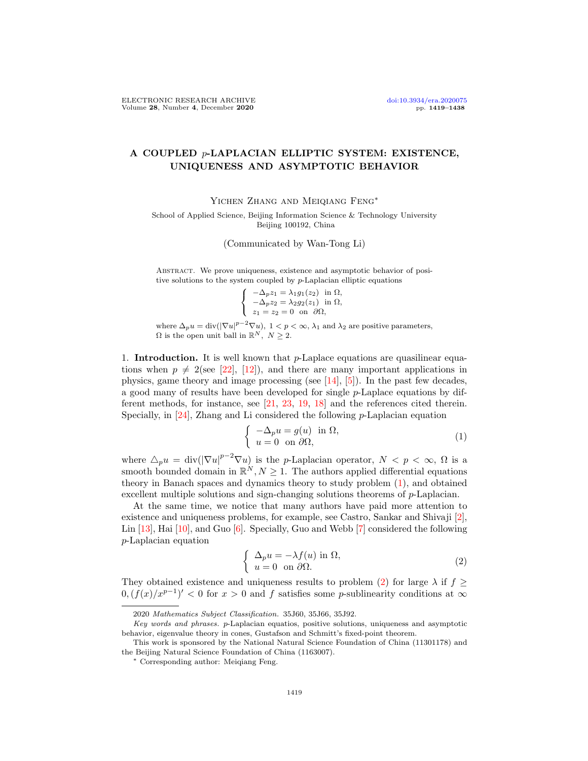## A COUPLED p-LAPLACIAN ELLIPTIC SYSTEM: EXISTENCE, UNIQUENESS AND ASYMPTOTIC BEHAVIOR

Yichen Zhang and Meiqiang Feng∗

School of Applied Science, Beijing Information Science & Technology University Beijing 100192, China

(Communicated by Wan-Tong Li)

ABSTRACT. We prove uniqueness, existence and asymptotic behavior of positive solutions to the system coupled by p-Laplacian elliptic equations

$$
\begin{cases}\n-\Delta_p z_1 = \lambda_1 g_1(z_2) & \text{in } \Omega, \\
-\Delta_p z_2 = \lambda_2 g_2(z_1) & \text{in } \Omega, \\
z_1 = z_2 = 0 & \text{on } \partial\Omega,\n\end{cases}
$$

where  $\Delta_p u = \text{div}(|\nabla u|^{p-2} \nabla u)$ ,  $1 < p < \infty$ ,  $\lambda_1$  and  $\lambda_2$  are positive parameters,  $\Omega$  is the open unit ball in  $\mathbb{R}^N$ ,  $N \geq 2$ .

1. **Introduction.** It is well known that  $p$ -Laplace equations are quasilinear equations when  $p \neq 2$ (see [\[22\]](#page-19-0), [\[12\]](#page-18-0)), and there are many important applications in physics, game theory and image processing (see  $[14]$ ,  $[5]$ ). In the past few decades, a good many of results have been developed for single p-Laplace equations by different methods, for instance, see [\[21,](#page-19-1) [23,](#page-19-2) [19,](#page-18-3) [18\]](#page-18-4) and the references cited therein. Specially, in  $[24]$ , Zhang and Li considered the following *p*-Laplacian equation

<span id="page-0-0"></span>
$$
\begin{cases}\n-\Delta_p u = g(u) & \text{in } \Omega, \\
u = 0 & \text{on } \partial\Omega,\n\end{cases}
$$
\n(1)

where  $\Delta_p u = \text{div}(|\nabla u|^{p-2} \nabla u)$  is the p-Laplacian operator,  $N < p < \infty$ ,  $\Omega$  is a smooth bounded domain in  $\mathbb{R}^N, N \geq 1$ . The authors applied differential equations theory in Banach spaces and dynamics theory to study problem [\(1\)](#page-0-0), and obtained excellent multiple solutions and sign-changing solutions theorems of p-Laplacian.

At the same time, we notice that many authors have paid more attention to existence and uniqueness problems, for example, see Castro, Sankar and Shivaji [\[2\]](#page-18-5), Lin [\[13\]](#page-18-6), Hai [\[10\]](#page-18-7), and Guo [\[6\]](#page-18-8). Specially, Guo and Webb [\[7\]](#page-18-9) considered the following p-Laplacian equation

<span id="page-0-1"></span>
$$
\begin{cases} \Delta_p u = -\lambda f(u) \text{ in } \Omega, \\ u = 0 \text{ on } \partial \Omega. \end{cases}
$$
 (2)

They obtained existence and uniqueness results to problem [\(2\)](#page-0-1) for large  $\lambda$  if  $f \geq$  $0, (f(x)/x^{p-1})' < 0$  for  $x > 0$  and f satisfies some p-sublinearity conditions at  $\infty$ 

<sup>2020</sup> Mathematics Subject Classification. 35J60, 35J66, 35J92.

Key words and phrases. p-Laplacian equatios, positive solutions, uniqueness and asymptotic behavior, eigenvalue theory in cones, Gustafson and Schmitt's fixed-point theorem.

This work is sponsored by the National Natural Science Foundation of China (11301178) and the Beijing Natural Science Foundation of China (1163007).

<sup>∗</sup> Corresponding author: Meiqiang Feng.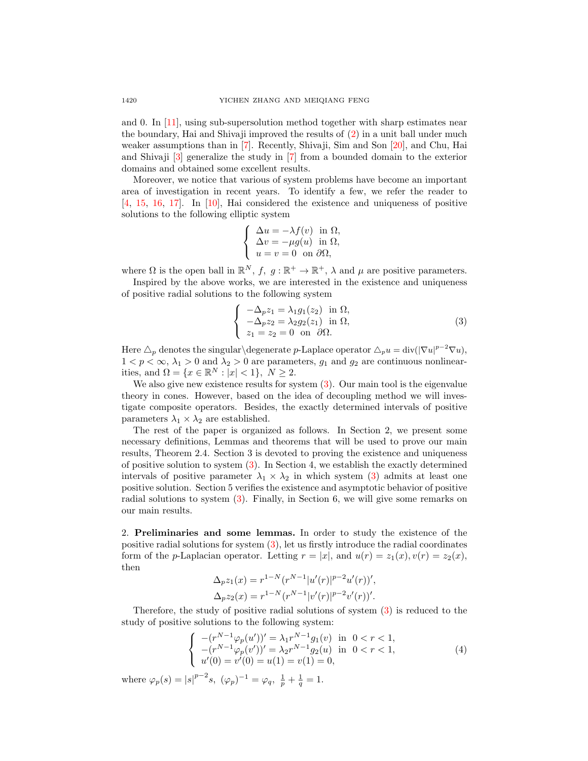and 0. In [\[11\]](#page-18-10), using sub-supersolution method together with sharp estimates near the boundary, Hai and Shivaji improved the results of [\(2\)](#page-0-1) in a unit ball under much weaker assumptions than in [\[7\]](#page-18-9). Recently, Shivaji, Sim and Son [\[20\]](#page-18-11), and Chu, Hai and Shivaji [\[3\]](#page-18-12) generalize the study in [\[7\]](#page-18-9) from a bounded domain to the exterior domains and obtained some excellent results.

Moreover, we notice that various of system problems have become an important area of investigation in recent years. To identify a few, we refer the reader to [\[4,](#page-18-13) [15,](#page-18-14) [16,](#page-18-15) [17\]](#page-18-16). In [\[10\]](#page-18-7), Hai considered the existence and uniqueness of positive solutions to the following elliptic system

$$
\left\{\begin{array}{l} \Delta u = -\lambda f(v) \ \text{ in } \Omega, \\ \Delta v = -\mu g(u) \ \text{ in } \Omega, \\ u = v = 0 \ \text{ on } \partial \Omega, \end{array}\right.
$$

where  $\Omega$  is the open ball in  $\mathbb{R}^N$ ,  $f, g: \mathbb{R}^+ \to \mathbb{R}^+$ ,  $\lambda$  and  $\mu$  are positive parameters.

Inspired by the above works, we are interested in the existence and uniqueness of positive radial solutions to the following system

<span id="page-1-0"></span>
$$
\begin{cases}\n-\Delta_p z_1 = \lambda_1 g_1(z_2) & \text{in } \Omega, \\
-\Delta_p z_2 = \lambda_2 g_2(z_1) & \text{in } \Omega, \\
z_1 = z_2 = 0 & \text{on } \partial\Omega.\n\end{cases}
$$
\n(3)

Here  $\Delta_p$  denotes the singular $\deg$ enerate p-Laplace operator  $\Delta_p u = \text{div}(|\nabla u|^{p-2}\nabla u)$ ,  $1 < p < \infty$ ,  $\lambda_1 > 0$  and  $\lambda_2 > 0$  are parameters,  $g_1$  and  $g_2$  are continuous nonlinearities, and  $\Omega = \{x \in \mathbb{R}^N : |x| < 1\}, N \geq 2$ .

We also give new existence results for system  $(3)$ . Our main tool is the eigenvalue theory in cones. However, based on the idea of decoupling method we will investigate composite operators. Besides, the exactly determined intervals of positive parameters  $\lambda_1 \times \lambda_2$  are established.

The rest of the paper is organized as follows. In Section 2, we present some necessary definitions, Lemmas and theorems that will be used to prove our main results, Theorem 2.4. Section 3 is devoted to proving the existence and uniqueness of positive solution to system [\(3\)](#page-1-0). In Section 4, we establish the exactly determined intervals of positive parameter  $\lambda_1 \times \lambda_2$  in which system [\(3\)](#page-1-0) admits at least one positive solution. Section 5 verifies the existence and asymptotic behavior of positive radial solutions to system [\(3\)](#page-1-0). Finally, in Section 6, we will give some remarks on our main results.

2. Preliminaries and some lemmas. In order to study the existence of the positive radial solutions for system [\(3\)](#page-1-0), let us firstly introduce the radial coordinates form of the *p*-Laplacian operator. Letting  $r = |x|$ , and  $u(r) = z_1(x), v(r) = z_2(x)$ , then

<span id="page-1-1"></span>
$$
\Delta_p z_1(x) = r^{1-N} (r^{N-1} |u'(r)|^{p-2} u'(r))',
$$
  

$$
\Delta_p z_2(x) = r^{1-N} (r^{N-1} |v'(r)|^{p-2} v'(r))'.
$$

Therefore, the study of positive radial solutions of system [\(3\)](#page-1-0) is reduced to the study of positive solutions to the following system:

$$
\begin{cases}\n-(r^{N-1}\varphi_p(u'))' = \lambda_1 r^{N-1} g_1(v) & \text{in } 0 < r < 1, \\
-(r^{N-1}\varphi_p(v'))' = \lambda_2 r^{N-1} g_2(u) & \text{in } 0 < r < 1, \\
u'(0) = v'(0) = u(1) = v(1) = 0,\n\end{cases}
$$
\n(4)

where  $\varphi_p(s) = |s|^{p-2} s$ ,  $(\varphi_p)^{-1} = \varphi_q$ ,  $\frac{1}{p} + \frac{1}{q} = 1$ .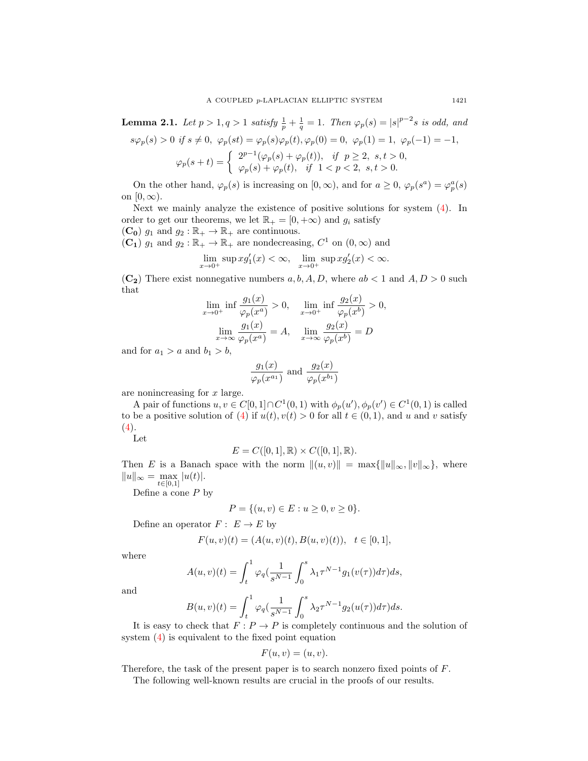**Lemma 2.1.** Let  $p > 1$ ,  $q > 1$  satisfy  $\frac{1}{p} + \frac{1}{q} = 1$ . Then  $\varphi_p(s) = |s|^{p-2} s$  is odd, and

$$
s\varphi_p(s) > 0 \text{ if } s \neq 0, \ \varphi_p(st) = \varphi_p(s)\varphi_p(t), \varphi_p(0) = 0, \ \varphi_p(1) = 1, \ \varphi_p(-1) = -1,
$$
  

$$
\varphi_p(s+t) = \begin{cases} 2^{p-1}(\varphi_p(s) + \varphi_p(t)), & \text{if } p \ge 2, \ s, t > 0, \\ \varphi_p(s) + \varphi_p(t), & \text{if } 1 < p < 2, \ s, t > 0. \end{cases}
$$

On the other hand,  $\varphi_p(s)$  is increasing on  $[0,\infty)$ , and for  $a \geq 0$ ,  $\varphi_p(s^a) = \varphi_p^a(s)$ on  $[0, \infty)$ .

Next we mainly analyze the existence of positive solutions for system [\(4\)](#page-1-1). In order to get our theorems, we let  $\mathbb{R}_+ = [0, +\infty)$  and  $g_i$  satisfy  $(\mathbf{C_0})$   $g_1$  and  $g_2 : \mathbb{R}_+ \to \mathbb{R}_+$  are continuous.

 $(\mathbf{C_1})$   $g_1$  and  $g_2 : \mathbb{R}_+ \to \mathbb{R}_+$  are nondecreasing,  $C^1$  on  $(0, \infty)$  and

$$
\lim_{x \to 0^+} \sup x g_1'(x) < \infty, \quad \lim_{x \to 0^+} \sup x g_2'(x) < \infty.
$$

 $(C_2)$  There exist nonnegative numbers  $a, b, A, D$ , where  $ab < 1$  and  $A, D > 0$  such that

$$
\lim_{x \to 0^+} \inf \frac{g_1(x)}{\varphi_p(x^a)} > 0, \quad \lim_{x \to 0^+} \inf \frac{g_2(x)}{\varphi_p(x^b)} > 0,
$$

$$
\lim_{x \to \infty} \frac{g_1(x)}{\varphi_p(x^a)} = A, \quad \lim_{x \to \infty} \frac{g_2(x)}{\varphi_p(x^b)} = D
$$

and for  $a_1 > a$  and  $b_1 > b$ ,

$$
\frac{g_1(x)}{\varphi_p(x^{a_1})}
$$
 and 
$$
\frac{g_2(x)}{\varphi_p(x^{b_1})}
$$

are nonincreasing for  $x$  large.

A pair of functions  $u, v \in C[0,1] \cap C^1(0,1)$  with  $\phi_p(u'), \phi_p(v') \in C^1(0,1)$  is called to be a positive solution of [\(4\)](#page-1-1) if  $u(t), v(t) > 0$  for all  $t \in (0, 1)$ , and u and v satisfy  $(4).$  $(4).$ 

Let

$$
E = C([0,1], \mathbb{R}) \times C([0,1], \mathbb{R}).
$$

Then E is a Banach space with the norm  $\|(u, v)\| = \max\{\|u\|_{\infty}, \|v\|_{\infty}\}\,$ , where  $||u||_{\infty} = \max_{t \in [0,1]} |u(t)|.$ 

Define a cone  $P$  by

$$
P = \{(u, v) \in E : u \ge 0, v \ge 0\}.
$$

Define an operator  $F: E \to E$  by

$$
F(u, v)(t) = (A(u, v)(t), B(u, v)(t)), \quad t \in [0, 1],
$$

where

$$
A(u,v)(t) = \int_t^1 \varphi_q\left(\frac{1}{s^{N-1}} \int_0^s \lambda_1 \tau^{N-1} g_1(v(\tau)) d\tau\right) ds,
$$

and

$$
B(u, v)(t) = \int_t^1 \varphi_q(\frac{1}{s^{N-1}} \int_0^s \lambda_2 \tau^{N-1} g_2(u(\tau)) d\tau) ds.
$$

It is easy to check that  $F: P \to P$  is completely continuous and the solution of system [\(4\)](#page-1-1) is equivalent to the fixed point equation

$$
F(u, v) = (u, v).
$$

Therefore, the task of the present paper is to search nonzero fixed points of F.

The following well-known results are crucial in the proofs of our results.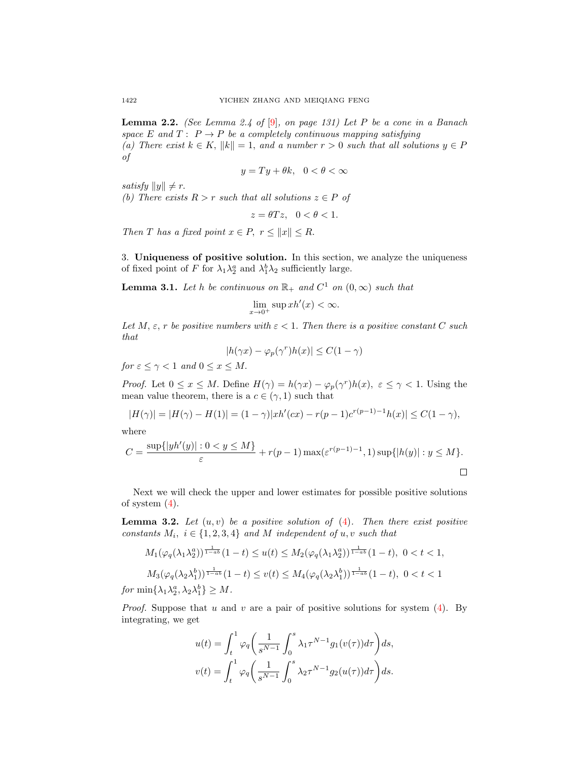<span id="page-3-0"></span>**Lemma 2.2.** (See Lemma 2.4 of  $[9]$ , on page 131) Let P be a cone in a Banach space E and  $T: P \to P$  be a completely continuous mapping satisfying (a) There exist  $k \in K$ ,  $||k|| = 1$ , and a number  $r > 0$  such that all solutions  $y \in P$ of

$$
y = Ty + \theta k, \quad 0 < \theta < \infty
$$

satisfy  $||y|| \neq r$ .

(b) There exists  $R > r$  such that all solutions  $z \in P$  of

$$
z = \theta T z, \quad 0 < \theta < 1.
$$

Then T has a fixed point  $x \in P$ ,  $r \le ||x|| \le R$ .

3. Uniqueness of positive solution. In this section, we analyze the uniqueness of fixed point of F for  $\lambda_1 \lambda_2^a$  and  $\lambda_1^b \lambda_2$  sufficiently large.

<span id="page-3-2"></span>**Lemma 3.1.** Let h be continuous on  $\mathbb{R}_+$  and  $C^1$  on  $(0, \infty)$  such that

$$
\lim_{x \to 0^+} \sup xh'(x) < \infty.
$$

Let M,  $\varepsilon$ , r be positive numbers with  $\varepsilon$  < 1. Then there is a positive constant C such that

$$
|h(\gamma x) - \varphi_p(\gamma^r)h(x)| \le C(1 - \gamma)
$$

for  $\varepsilon \leq \gamma < 1$  and  $0 \leq x \leq M$ .

*Proof.* Let  $0 \le x \le M$ . Define  $H(\gamma) = h(\gamma x) - \varphi_p(\gamma^r)h(x)$ ,  $\varepsilon \le \gamma < 1$ . Using the mean value theorem, there is a  $c \in (\gamma, 1)$  such that

$$
|H(\gamma)| = |H(\gamma) - H(1)| = (1 - \gamma)|xh'(cx) - r(p - 1)c^{r(p-1)-1}h(x)| \le C(1 - \gamma),
$$

where

$$
C = \frac{\sup\{|yh'(y)| : 0 < y \le M\}}{\varepsilon} + r(p-1) \max(\varepsilon^{r(p-1)-1}, 1) \sup\{|h(y)| : y \le M\}.
$$

Next we will check the upper and lower estimates for possible positive solutions of system  $(4)$ .

<span id="page-3-1"></span>**Lemma 3.2.** Let  $(u, v)$  be a positive solution of  $(4)$ . Then there exist positive constants  $M_i$ ,  $i \in \{1, 2, 3, 4\}$  and M independent of u, v such that

$$
M_1(\varphi_q(\lambda_1\lambda_2^a))^{\frac{1}{1-ab}}(1-t) \le u(t) \le M_2(\varphi_q(\lambda_1\lambda_2^a))^{\frac{1}{1-ab}}(1-t), \ 0 < t < 1,
$$
  

$$
M_3(\varphi_q(\lambda_2\lambda_1^b))^{\frac{1}{1-ab}}(1-t) \le v(t) \le M_4(\varphi_q(\lambda_2\lambda_1^b))^{\frac{1}{1-ab}}(1-t), \ 0 < t < 1
$$
  
for min $\{\lambda_1\lambda_2^a, \lambda_2\lambda_1^b\} \ge M.$ 

*Proof.* Suppose that u and v are a pair of positive solutions for system  $(4)$ . By integrating, we get

$$
u(t) = \int_t^1 \varphi_q \bigg( \frac{1}{s^{N-1}} \int_0^s \lambda_1 \tau^{N-1} g_1(v(\tau)) d\tau \bigg) ds,
$$
  

$$
v(t) = \int_t^1 \varphi_q \bigg( \frac{1}{s^{N-1}} \int_0^s \lambda_2 \tau^{N-1} g_2(u(\tau)) d\tau \bigg) ds.
$$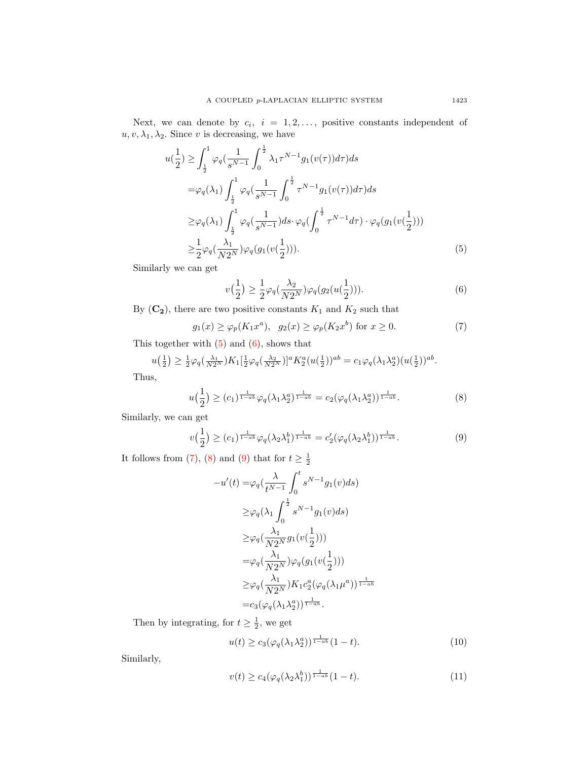Next, we can denote by  $c_i$ ,  $i = 1, 2, \ldots$ , positive constants independent of  $u, v, \lambda_1, \lambda_2$ . Since v is decreasing, we have

$$
u(\frac{1}{2}) \geq \int_{\frac{1}{2}}^{1} \varphi_{q}(\frac{1}{s^{N-1}} \int_{0}^{\frac{1}{2}} \lambda_{1} \tau^{N-1} g_{1}(v(\tau)) d\tau) ds
$$
  
\n
$$
= \varphi_{q}(\lambda_{1}) \int_{\frac{1}{2}}^{1} \varphi_{q}(\frac{1}{s^{N-1}} \int_{0}^{\frac{1}{2}} \tau^{N-1} g_{1}(v(\tau)) d\tau) ds
$$
  
\n
$$
\geq \varphi_{q}(\lambda_{1}) \int_{\frac{1}{2}}^{1} \varphi_{q}(\frac{1}{s^{N-1}}) ds \cdot \varphi_{q}(\int_{0}^{\frac{1}{2}} \tau^{N-1} d\tau) \cdot \varphi_{q}(g_{1}(v(\frac{1}{2})))
$$
  
\n
$$
\geq \frac{1}{2} \varphi_{q}(\frac{\lambda_{1}}{N 2^{N}}) \varphi_{q}(g_{1}(v(\frac{1}{2}))).
$$
\n(5)

Similarly we can get

<span id="page-4-2"></span><span id="page-4-1"></span><span id="page-4-0"></span>
$$
v(\frac{1}{2}) \ge \frac{1}{2}\varphi_q(\frac{\lambda_2}{N2^N})\varphi_q(g_2(u(\frac{1}{2}))).
$$
 (6)

By  $({\bf C_2}),$  there are two positive constants  $K_1$  and  $K_2$  such that

$$
g_1(x) \ge \varphi_p(K_1 x^a), \quad g_2(x) \ge \varphi_p(K_2 x^b) \text{ for } x \ge 0.
$$
 (7)

This together with  $(5)$  and  $(6)$ , shows that

$$
u\left(\frac{1}{2}\right) \geq \frac{1}{2}\varphi_q\left(\frac{\lambda_1}{N2^N}\right)K_1\left[\frac{1}{2}\varphi_q\left(\frac{\lambda_2}{N2^N}\right)\right]^a K_2^a(u\left(\frac{1}{2}\right))^{ab} = c_1\varphi_q(\lambda_1\lambda_2^a)(u\left(\frac{1}{2}\right))^{ab}.
$$

Thus,

$$
u\left(\frac{1}{2}\right) \ge (c_1)^{\frac{1}{1-a b}} \varphi_q(\lambda_1 \lambda_2^a)^{\frac{1}{1-a b}} = c_2(\varphi_q(\lambda_1 \lambda_2^a))^{\frac{1}{1-a b}}.
$$
 (8)

Similarly, we can get

$$
v\left(\frac{1}{2}\right) \ge (c_1)^{\frac{1}{1-a b}} \varphi_q(\lambda_2 \lambda_1^b)^{\frac{1}{1-a b}} = c_2'(\varphi_q(\lambda_2 \lambda_1^b))^{\frac{1}{1-a b}}.
$$
 (9)

It follows from [\(7\)](#page-4-2), [\(8\)](#page-4-3) and [\(9\)](#page-4-4) that for  $t \geq \frac{1}{2}$ 

−u

<span id="page-4-4"></span><span id="page-4-3"></span>
$$
-u'(t) = \varphi_q(\frac{\lambda}{t^{N-1}} \int_0^t s^{N-1} g_1(v) ds)
$$
  
\n
$$
\geq \varphi_q(\lambda_1 \int_0^{\frac{1}{2}} s^{N-1} g_1(v) ds)
$$
  
\n
$$
\geq \varphi_q(\frac{\lambda_1}{N2^N} g_1(v(\frac{1}{2})))
$$
  
\n
$$
= \varphi_q(\frac{\lambda_1}{N2^N}) \varphi_q(g_1(v(\frac{1}{2})))
$$
  
\n
$$
\geq \varphi_q(\frac{\lambda_1}{N2^N}) K_1 c_2^a(\varphi_q(\lambda_1 \mu^a))^{\frac{1}{1-ab}}
$$
  
\n
$$
= c_3(\varphi_q(\lambda_1 \lambda_2^a))^{\frac{1}{1-ab}}.
$$

Then by integrating, for  $t \geq \frac{1}{2}$ , we get

$$
u(t) \ge c_3(\varphi_q(\lambda_1 \lambda_2^a))^{\frac{1}{1-ab}}(1-t). \tag{10}
$$

Similarly,

<span id="page-4-5"></span>
$$
v(t) \ge c_4(\varphi_q(\lambda_2 \lambda_1^b))^{\frac{1}{1-ab}} (1-t). \tag{11}
$$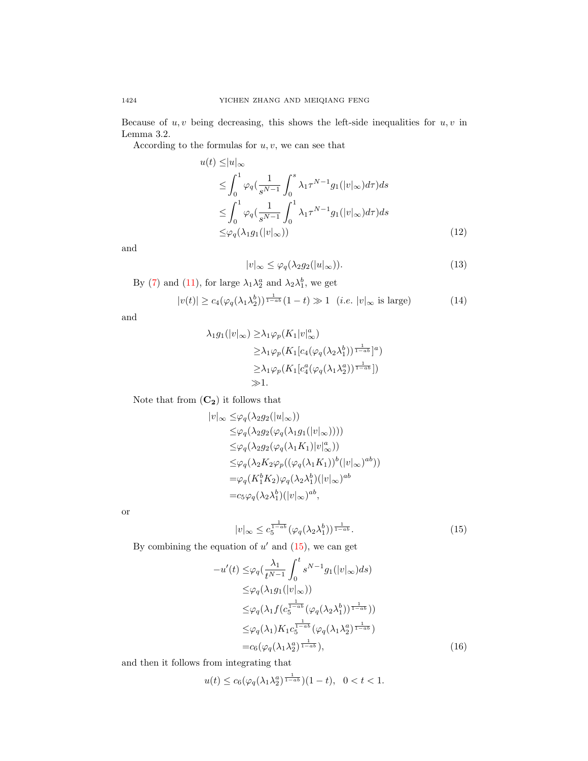Because of  $u, v$  being decreasing, this shows the left-side inequalities for  $u, v$  in Lemma 3.2.

According to the formulas for  $u, v$ , we can see that

$$
u(t) \le |u|_{\infty}
$$
  
\n
$$
\le \int_0^1 \varphi_q \left( \frac{1}{s^{N-1}} \int_0^s \lambda_1 \tau^{N-1} g_1(|v|_{\infty}) d\tau \right) ds
$$
  
\n
$$
\le \int_0^1 \varphi_q \left( \frac{1}{s^{N-1}} \int_0^1 \lambda_1 \tau^{N-1} g_1(|v|_{\infty}) d\tau \right) ds
$$
  
\n
$$
\le \varphi_q(\lambda_1 g_1(|v|_{\infty}))
$$
\n(12)

and

<span id="page-5-2"></span><span id="page-5-1"></span>
$$
|v|_{\infty} \le \varphi_q(\lambda_2 g_2(|u|_{\infty})). \tag{13}
$$

By (7) and (11), for large 
$$
\lambda_1 \lambda_2^a
$$
 and  $\lambda_2 \lambda_1^b$ , we get

$$
|v(t)| \ge c_4(\varphi_q(\lambda_1 \lambda_2^b))^{\frac{1}{1-ab}} (1-t) \gg 1 \quad (i.e. \ |v|_{\infty} \text{ is large}) \tag{14}
$$

and

$$
\lambda_1 g_1(|v|_{\infty}) \geq \lambda_1 \varphi_p(K_1|v|_{\infty}^a)
$$
  
\n
$$
\geq \lambda_1 \varphi_p(K_1[c_4(\varphi_q(\lambda_2 \lambda_1^b))^{\frac{1}{1-ab}}]^a)
$$
  
\n
$$
\geq \lambda_1 \varphi_p(K_1[c_4^a(\varphi_q(\lambda_1 \lambda_2^a))^{\frac{1}{1-ab}}])
$$
  
\n
$$
\gg 1.
$$

Note that from  $(\bf{C_2})$  it follows that

$$
|v|_{\infty} \leq \varphi_q(\lambda_2 g_2(|u|_{\infty}))
$$
  
\n
$$
\leq \varphi_q(\lambda_2 g_2(\varphi_q(\lambda_1 g_1(|v|_{\infty}))))
$$
  
\n
$$
\leq \varphi_q(\lambda_2 g_2(\varphi_q(\lambda_1 K_1)|v|_{\infty}^a))
$$
  
\n
$$
\leq \varphi_q(\lambda_2 K_2 \varphi_p((\varphi_q(\lambda_1 K_1))^b(|v|_{\infty})^{ab}))
$$
  
\n
$$
= \varphi_q(K_1^b K_2) \varphi_q(\lambda_2 \lambda_1^b)(|v|_{\infty})^{ab}
$$
  
\n
$$
= c_5 \varphi_q(\lambda_2 \lambda_1^b)(|v|_{\infty})^{ab},
$$

or

<span id="page-5-0"></span>
$$
|v|_{\infty} \leq c_5^{\frac{1}{1-ab}} \left(\varphi_q(\lambda_2 \lambda_1^b)\right)^{\frac{1}{1-ab}}.
$$
 (15)

By combining the equation of  $u'$  and  $(15)$ , we can get

$$
-u'(t) \leq \varphi_q(\frac{\lambda_1}{t^{N-1}} \int_0^t s^{N-1} g_1(|v|_{\infty}) ds)
$$
  
\n
$$
\leq \varphi_q(\lambda_1 g_1(|v|_{\infty}))
$$
  
\n
$$
\leq \varphi_q(\lambda_1 f(c_5^{\frac{1}{1-ab}} (\varphi_q(\lambda_2 \lambda_1^b))^{\frac{1}{1-ab}}))
$$
  
\n
$$
\leq \varphi_q(\lambda_1) K_1 c_5^{\frac{1}{1-ab}} (\varphi_q(\lambda_1 \lambda_2^a)^{\frac{1}{1-ab}})
$$
  
\n
$$
= c_6 (\varphi_q(\lambda_1 \lambda_2^a)^{\frac{1}{1-ab}}), \qquad (16)
$$

and then it follows from integrating that

$$
u(t) \le c_6(\varphi_q(\lambda_1 \lambda_2^a)^{\frac{1}{1-ab}})(1-t), \ \ 0 < t < 1.
$$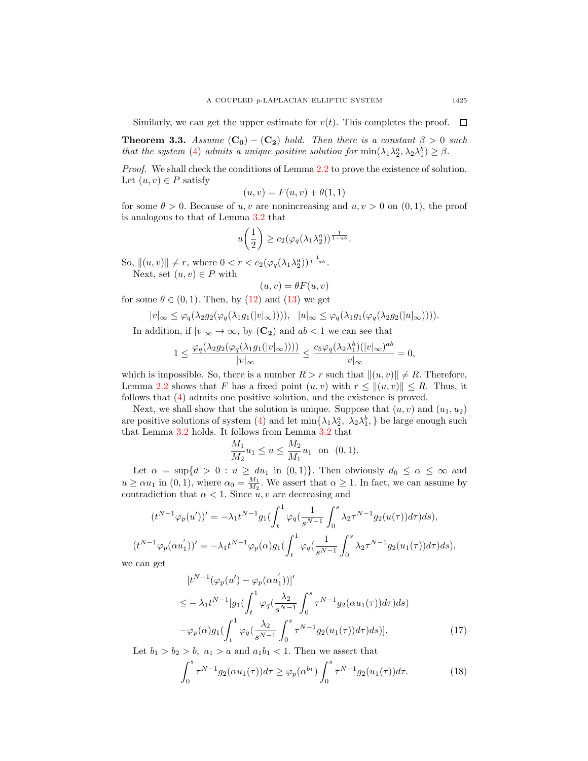Similarly, we can get the upper estimate for  $v(t)$ . This completes the proof.  $\Box$ 

<span id="page-6-2"></span>**Theorem 3.3.** Assume  $(C_0) - (C_2)$  hold. Then there is a constant  $\beta > 0$  such that the system [\(4\)](#page-1-1) admits a unique positive solution for  $\min(\lambda_1 \lambda_2^a, \lambda_2 \lambda_1^b) \geq \beta$ .

Proof. We shall check the conditions of Lemma [2.2](#page-3-0) to prove the existence of solution. Let  $(u, v) \in P$  satisfy

$$
(u, v) = F(u, v) + \theta(1, 1)
$$

for some  $\theta > 0$ . Because of u, v are nonincreasing and u,  $v > 0$  on  $(0, 1)$ , the proof is analogous to that of Lemma [3.2](#page-3-1) that

$$
u\left(\frac{1}{2}\right) \geq c_2(\varphi_q(\lambda_1\lambda_2^a))^{\frac{1}{1-ab}}.
$$

So,  $\|(u, v)\| \neq r$ , where  $0 < r < c_2(\varphi_q(\lambda_1 \lambda_2^a))^{\frac{1}{1 - a b}}$ . Next, set  $(u, v) \in P$  with

$$
(u,v) = \theta F(u,v)
$$

for some  $\theta \in (0, 1)$ . Then, by [\(12\)](#page-5-1) and [\(13\)](#page-5-2) we get

$$
|v|_{\infty} \leq \varphi_q(\lambda_2 g_2(\varphi_q(\lambda_1 g_1(|v|_{\infty})))) , |u|_{\infty} \leq \varphi_q(\lambda_1 g_1(\varphi_q(\lambda_2 g_2(|u|_{\infty})))) .
$$

In addition, if  $|v|_{\infty} \to \infty$ , by  $(\mathbb{C}_2)$  and  $ab < 1$  we can see that

$$
1 \le \frac{\varphi_q(\lambda_2 g_2(\varphi_q(\lambda_1 g_1(|v|_{\infty}))))}{|v|_{\infty}} \le \frac{c_5 \varphi_q(\lambda_2 \lambda_1^b)(|v|_{\infty})^{ab}}{|v|_{\infty}} = 0,
$$

which is impossible. So, there is a number  $R > r$  such that  $\|(u, v)\| \neq R$ . Therefore, Lemma [2.2](#page-3-0) shows that F has a fixed point  $(u, v)$  with  $r \leq ||(u, v)|| \leq R$ . Thus, it follows that [\(4\)](#page-1-1) admits one positive solution, and the existence is proved.

Next, we shall show that the solution is unique. Suppose that  $(u, v)$  and  $(u_1, u_2)$ are positive solutions of system [\(4\)](#page-1-1) and let  $\min\{\lambda_1\lambda_2^a, \lambda_2\lambda_1^b, \}$  be large enough such that Lemma [3.2](#page-3-1) holds. It follows from Lemma [3.2](#page-3-1) that

$$
\frac{M_1}{M_2}u_1 \le u \le \frac{M_2}{M_1}u_1 \text{ on } (0,1).
$$

Let  $\alpha = \sup\{d > 0 : u \ge du_1 \text{ in } (0,1)\}.$  Then obviously  $d_0 \le \alpha \le \infty$  and  $u \ge \alpha u_1$  in (0, 1), where  $\alpha_0 = \frac{M_1}{M_2}$ . We assert that  $\alpha \ge 1$ . In fact, we can assume by contradiction that  $\alpha < 1$ . Since  $u, v$  are decreasing and

$$
(t^{N-1}\varphi_p(u'))' = -\lambda_1 t^{N-1} g_1 \left( \int_t^1 \varphi_q\left(\frac{1}{s^{N-1}} \int_0^s \lambda_2 \tau^{N-1} g_2(u(\tau)) d\tau \right) ds \right),
$$
  
\n
$$
t^{N-1} \varphi_p(\alpha u_1')' = -\lambda_1 t^{N-1} \varphi_p(\alpha) g_1 \left( \int_t^1 \varphi_q\left(\frac{1}{s^{N-1}} \int_0^s \lambda_2 \tau^{N-1} g_2(u_1(\tau)) d\tau \right) ds \right),
$$
  
\n
$$
\text{can get}
$$

we can get

 $($ 

$$
[t^{N-1}(\varphi_p(u') - \varphi_p(\alpha u_1'))]'
$$
  
\n
$$
\leq -\lambda_1 t^{N-1} [g_1(\int_t^1 \varphi_q(\frac{\lambda_2}{s^{N-1}} \int_0^s \tau^{N-1} g_2(\alpha u_1(\tau)) d\tau) ds)
$$
  
\n
$$
-\varphi_p(\alpha) g_1(\int_t^1 \varphi_q(\frac{\lambda_2}{s^{N-1}} \int_0^s \tau^{N-1} g_2(u_1(\tau)) d\tau) ds)].
$$
\n(17)

Let  $b_1 > b_2 > b$ ,  $a_1 > a$  and  $a_1b_1 < 1$ . Then we assert that

<span id="page-6-1"></span><span id="page-6-0"></span>
$$
\int_0^s \tau^{N-1} g_2(\alpha u_1(\tau)) d\tau \ge \varphi_p(\alpha^{b_1}) \int_0^s \tau^{N-1} g_2(u_1(\tau)) d\tau.
$$
 (18)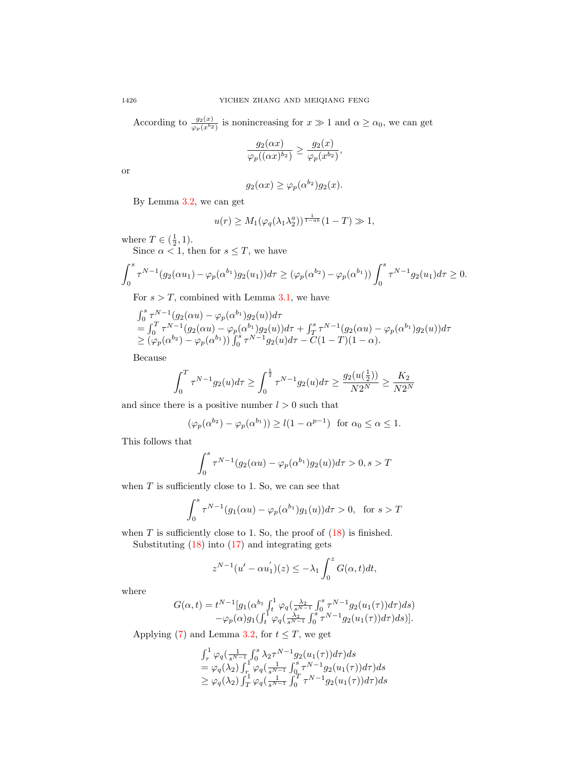According to  $\frac{g_2(x)}{\varphi_p(x^{b_2})}$  is nonincreasing for  $x \gg 1$  and  $\alpha \ge \alpha_0$ , we can get

$$
\frac{g_2(\alpha x)}{\varphi_p((\alpha x)^{b_2})} \ge \frac{g_2(x)}{\varphi_p(x^{b_2})},
$$

or

$$
g_2(\alpha x) \ge \varphi_p(\alpha^{b_2})g_2(x).
$$

By Lemma [3.2,](#page-3-1) we can get

$$
u(r) \ge M_1(\varphi_q(\lambda_1 \lambda_2^a))^{\frac{1}{1-ab}}(1-T) \gg 1,
$$

where  $T \in (\frac{1}{2}, 1)$ .

Since  $\alpha < 1$ , then for  $s \leq T$ , we have

$$
\int_0^s \tau^{N-1}(g_2(\alpha u_1) - \varphi_p(\alpha^{b_1})g_2(u_1))d\tau \ge (\varphi_p(\alpha^{b_2}) - \varphi_p(\alpha^{b_1})) \int_0^s \tau^{N-1}g_2(u_1)d\tau \ge 0.
$$

For  $s > T$ , combined with Lemma [3.1,](#page-3-2) we have

$$
\int_0^s \tau^{N-1}(g_2(\alpha u) - \varphi_p(\alpha^{b_1})g_2(u))d\tau \n= \int_0^T \tau^{N-1}(g_2(\alpha u) - \varphi_p(\alpha^{b_1})g_2(u))d\tau + \int_T^s \tau^{N-1}(g_2(\alpha u) - \varphi_p(\alpha^{b_1})g_2(u))d\tau \n\ge (\varphi_p(\alpha^{b_2}) - \varphi_p(\alpha^{b_1})) \int_0^s \tau^{N-1}g_2(u)d\tau - C(1-T)(1-\alpha).
$$

Because

$$
\int_0^T \tau^{N-1} g_2(u) d\tau \ge \int_0^{\frac{1}{2}} \tau^{N-1} g_2(u) d\tau \ge \frac{g_2(u(\frac{1}{2}))}{N2^N} \ge \frac{K_2}{N2^N}
$$

and since there is a positive number  $l > 0$  such that

$$
(\varphi_p(\alpha^{b_2}) - \varphi_p(\alpha^{b_1})) \ge l(1 - \alpha^{p-1}) \text{ for } \alpha_0 \le \alpha \le 1.
$$

This follows that

$$
\int_0^s \tau^{N-1}(g_2(\alpha u) - \varphi_p(\alpha^{b_1})g_2(u))d\tau > 0, s > T
$$

when  $T$  is sufficiently close to 1. So, we can see that

$$
\int_0^s \tau^{N-1}(g_1(\alpha u) - \varphi_p(\alpha^{b_1})g_1(u))d\tau > 0, \text{ for } s > T
$$

when  $T$  is sufficiently close to 1. So, the proof of  $(18)$  is finished.

Substituting  $(18)$  into  $(17)$  and integrating gets

$$
z^{N-1}(u'-\alpha u_1')(z) \leq -\lambda_1 \int_0^z G(\alpha, t)dt,
$$

where

$$
G(\alpha, t) = t^{N-1} [g_1(\alpha^{b_1} \int_t^1 \varphi_q(\frac{\lambda_2}{s^{N-1}} \int_0^s \tau^{N-1} g_2(u_1(\tau)) d\tau) ds) -\varphi_p(\alpha) g_1(\int_t^1 \varphi_q(\frac{\lambda_2}{s^{N-1}} \int_0^s \tau^{N-1} g_2(u_1(\tau)) d\tau) ds)].
$$

Applying [\(7\)](#page-4-2) and Lemma [3.2,](#page-3-1) for  $t \leq T$ , we get

$$
\int_r^1 \varphi_q\left(\frac{1}{s^{N-1}} \int_0^s \lambda_2 \tau^{N-1} g_2(u_1(\tau)) d\tau\right) ds
$$
  
=  $\varphi_q(\lambda_2) \int_r^1 \varphi_q\left(\frac{1}{s^{N-1}} \int_0^s \tau^{N-1} g_2(u_1(\tau)) d\tau\right) ds$   
 $\geq \varphi_q(\lambda_2) \int_T^1 \varphi_q\left(\frac{1}{s^{N-1}} \int_0^T \tau^{N-1} g_2(u_1(\tau)) d\tau\right) ds$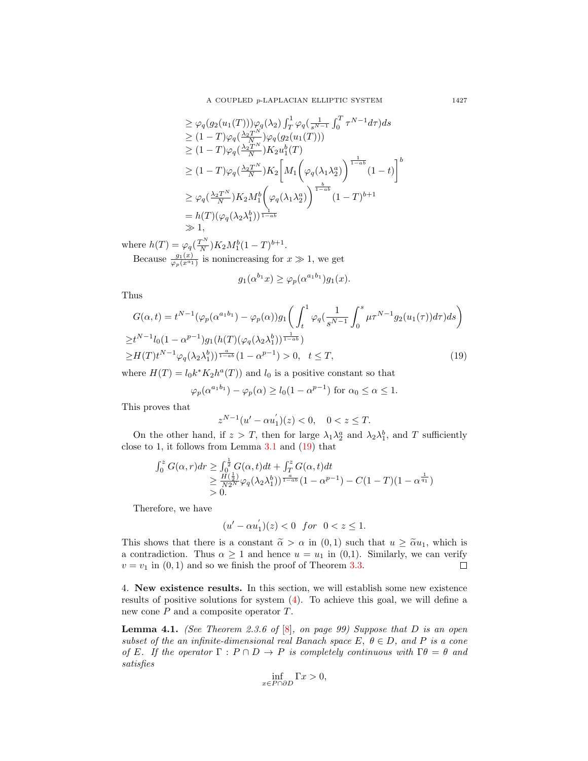$$
\geq \varphi_q(g_2(u_1(T)))\varphi_q(\lambda_2) \int_T^1 \varphi_q\left(\frac{1}{s^{N-1}} \int_0^T \tau^{N-1} d\tau\right) ds
$$
  
\n
$$
\geq (1-T)\varphi_q\left(\frac{\lambda_2 T^N}{N}\right) \varphi_q(g_2(u_1(T)))
$$
  
\n
$$
\geq (1-T)\varphi_q\left(\frac{\lambda_2 T^N}{N}\right) K_2 u_1^b(T)
$$
  
\n
$$
\geq (1-T)\varphi_q\left(\frac{\lambda_2 T^N}{N}\right) K_2 \left[M_1\left(\varphi_q(\lambda_1 \lambda_2^a)\right)^{\frac{1}{1-\alpha b}} (1-t)\right]^b
$$
  
\n
$$
\geq \varphi_q\left(\frac{\lambda_2 T^N}{N}\right) K_2 M_1^b\left(\varphi_q(\lambda_1 \lambda_2^a)\right)^{\frac{b}{1-\alpha b}} (1-T)^{b+1}
$$
  
\n
$$
= h(T)(\varphi_q(\lambda_2 \lambda_1^b))^{\frac{1}{1-\alpha b}}
$$
  
\n
$$
\gg 1,
$$

where  $h(T) = \varphi_q(\frac{T^N}{N})$  $\frac{N}{N}$ ) $K_2 M_1^b (1-T)^{b+1}$ . Because  $\frac{g_1(x)}{\varphi_p(x^{a_1})}$  is nonincreasing for  $x \gg 1$ , we get

<span id="page-8-0"></span>
$$
g_1(\alpha^{b_1}x) \ge \varphi_p(\alpha^{a_1b_1})g_1(x).
$$

Thus

$$
G(\alpha, t) = t^{N-1} (\varphi_p(\alpha^{a_1 b_1}) - \varphi_p(\alpha)) g_1 \left( \int_t^1 \varphi_q(\frac{1}{s^{N-1}} \int_0^s \mu \tau^{N-1} g_2(u_1(\tau)) d\tau) ds \right)
$$
  
\n
$$
\geq t^{N-1} l_0 (1 - \alpha^{p-1}) g_1(h(T) (\varphi_q(\lambda_2 \lambda_1^b))^{\frac{1}{1 - a b}})
$$
  
\n
$$
\geq H(T) t^{N-1} \varphi_q(\lambda_2 \lambda_1^b))^{\frac{a}{1 - a b}} (1 - \alpha^{p-1}) > 0, \quad t \leq T,
$$
\n(19)

where  $H(T) = l_0 k^* K_2 h^a(T)$  and  $l_0$  is a positive constant so that

$$
\varphi_p(\alpha^{a_1b_1}) - \varphi_p(\alpha) \ge l_0(1 - \alpha^{p-1})
$$
 for  $\alpha_0 \le \alpha \le 1$ .

This proves that

$$
z^{N-1}(u' - \alpha u_1')(z) < 0, \quad 0 < z \le T.
$$

On the other hand, if  $z > T$ , then for large  $\lambda_1 \lambda_2^a$  and  $\lambda_2 \lambda_1^b$ , and T sufficiently close to 1, it follows from Lemma  $3.1$  and  $(19)$  that

$$
\int_0^z G(\alpha, r) dr \ge \int_0^{\frac{1}{2}} G(\alpha, t) dt + \int_T^z G(\alpha, t) dt
$$
  
\n
$$
\ge \frac{H(\frac{1}{2})}{N2^N} \varphi_q(\lambda_2 \lambda_1^b) = \frac{a}{1 - a^b} (1 - \alpha^{p-1}) - C(1 - T)(1 - \alpha^{\frac{1}{q_1}})
$$
  
\n
$$
> 0.
$$

Therefore, we have

$$
(u' - \alpha u_1')(z) < 0 \quad \text{for} \quad 0 < z \le 1.
$$

This shows that there is a constant  $\tilde{\alpha} > \alpha$  in  $(0, 1)$  such that  $u \geq \tilde{\alpha}u_1$ , which is a contradiction. Thus  $\alpha \geq 1$  and hence  $u = u_1$  in (0,1). Similarly, we can verify  $v = v_1$  in  $(0, 1)$  and so we finish the proof of Theorem [3.3.](#page-6-2)  $\Box$ 

4. New existence results. In this section, we will establish some new existence results of positive solutions for system [\(4\)](#page-1-1). To achieve this goal, we will define a new cone P and a composite operator T.

<span id="page-8-1"></span>**Lemma 4.1.** (See Theorem 2.3.6 of  $[8]$ , on page 99) Suppose that D is an open subset of the an infinite-dimensional real Banach space E,  $\theta \in D$ , and P is a cone of E. If the operator  $\Gamma : P \cap D \to P$  is completely continuous with  $\Gamma \theta = \theta$  and satisfies

$$
\inf_{x \in P \cap \partial D} \Gamma x > 0,
$$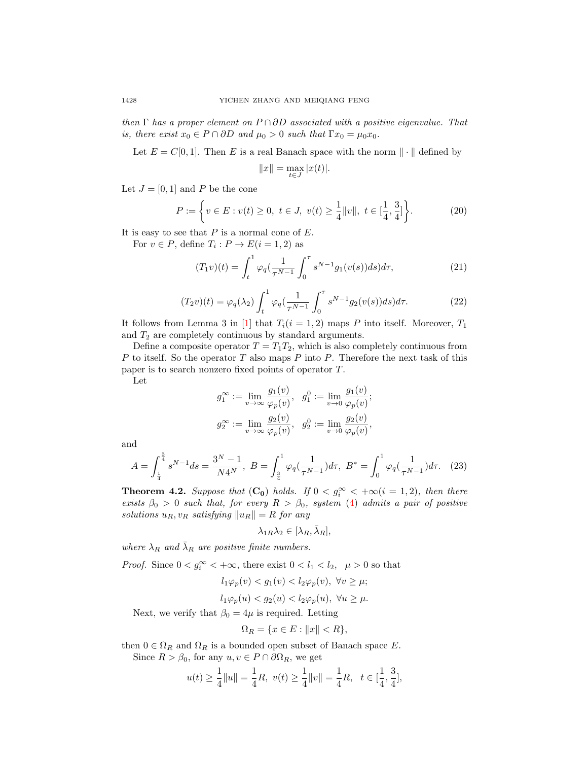then  $\Gamma$  has a proper element on  $P \cap \partial D$  associated with a positive eigenvalue. That is, there exist  $x_0 \in P \cap \partial D$  and  $\mu_0 > 0$  such that  $\Gamma x_0 = \mu_0 x_0$ .

Let  $E = C[0, 1]$ . Then E is a real Banach space with the norm  $\|\cdot\|$  defined by

<span id="page-9-2"></span><span id="page-9-1"></span>
$$
||x|| = \max_{t \in J} |x(t)|.
$$

Let  $J = [0, 1]$  and P be the cone

$$
P := \left\{ v \in E : v(t) \ge 0, \ t \in J, \ v(t) \ge \frac{1}{4} ||v||, \ t \in \left[\frac{1}{4}, \frac{3}{4}\right] \right\}.
$$
 (20)

It is easy to see that  $P$  is a normal cone of  $E$ .

For  $v \in P$ , define  $T_i: P \to E(i = 1, 2)$  as

$$
(T_1v)(t) = \int_t^1 \varphi_q(\frac{1}{\tau^{N-1}} \int_0^\tau s^{N-1} g_1(v(s)) ds) d\tau,
$$
\n(21)

$$
(T_2v)(t) = \varphi_q(\lambda_2) \int_t^1 \varphi_q(\frac{1}{\tau^{N-1}} \int_0^\tau s^{N-1} g_2(v(s)) ds) d\tau.
$$
 (22)

It follows from Lemma 3 in [\[1\]](#page-18-19) that  $T_i(i = 1, 2)$  maps P into itself. Moreover,  $T_1$ and  $T_2$  are completely continuous by standard arguments.

Define a composite operator  $T = T_1 T_2$ , which is also completely continuous from P to itself. So the operator T also maps P into P. Therefore the next task of this paper is to search nonzero fixed points of operator T.

Let

$$
\begin{aligned} g_1^{\infty} &:= \lim_{v \to \infty} \frac{g_1(v)}{\varphi_p(v)}, \ \ g_1^0 := \lim_{v \to 0} \frac{g_1(v)}{\varphi_p(v)}; \\ g_2^{\infty} &:= \lim_{v \to \infty} \frac{g_2(v)}{\varphi_p(v)}, \ \ g_2^0 := \lim_{v \to 0} \frac{g_2(v)}{\varphi_p(v)}, \end{aligned}
$$

and

$$
A = \int_{\frac{1}{4}}^{\frac{3}{4}} s^{N-1} ds = \frac{3^N - 1}{N4^N}, \ B = \int_{\frac{3}{4}}^1 \varphi_q(\frac{1}{\tau^{N-1}}) d\tau, \ B^* = \int_0^1 \varphi_q(\frac{1}{\tau^{N-1}}) d\tau. \tag{23}
$$

<span id="page-9-0"></span>**Theorem 4.2.** Suppose that  $(C_0)$  holds. If  $0 < g_i^{\infty} < +\infty$   $(i = 1, 2)$ , then there exists  $\beta_0 > 0$  such that, for every  $R > \beta_0$ , system [\(4\)](#page-1-1) admits a pair of positive solutions  $u_R$ ,  $v_R$  satisfying  $||u_R|| = R$  for any

<span id="page-9-3"></span>
$$
\lambda_{1R}\lambda_2 \in [\lambda_R, \bar{\lambda}_R],
$$

where  $\lambda_R$  and  $\bar{\lambda}_R$  are positive finite numbers.

*Proof.* Since  $0 < g_i^{\infty} < +\infty$ , there exist  $0 < l_1 < l_2$ ,  $\mu > 0$  so that

$$
l_1\varphi_p(v) < g_1(v) < l_2\varphi_p(v), \ \forall v \ge \mu;
$$

$$
l_1\varphi_p(u) < g_2(u) < l_2\varphi_p(u), \ \forall u \ge \mu.
$$

Next, we verify that  $\beta_0 = 4\mu$  is required. Letting

$$
\Omega_R = \{ x \in E : ||x|| < R \},
$$

then  $0 \in \Omega_R$  and  $\Omega_R$  is a bounded open subset of Banach space E. Since  $R > \beta_0$ , for any  $u, v \in P \cap \partial \Omega_R$ , we get

$$
u(t) \ge \frac{1}{4} ||u|| = \frac{1}{4}R, \ v(t) \ge \frac{1}{4} ||v|| = \frac{1}{4}R, \ t \in [\frac{1}{4}, \frac{3}{4}],
$$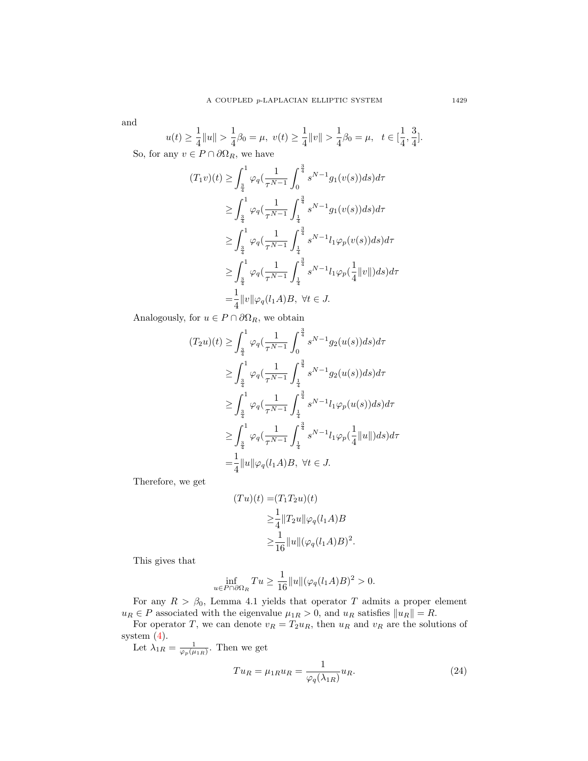and

$$
u(t) \ge \frac{1}{4} ||u|| > \frac{1}{4}\beta_0 = \mu, \ v(t) \ge \frac{1}{4} ||v|| > \frac{1}{4}\beta_0 = \mu, \ t \in [\frac{1}{4}, \frac{3}{4}].
$$

So, for any  $v \in P \cap \partial \Omega_R$ , we have

$$
(T_1v)(t) \ge \int_{\frac{3}{4}}^1 \varphi_q(\frac{1}{\tau^{N-1}} \int_0^{\frac{3}{4}} s^{N-1} g_1(v(s)) ds) d\tau
$$
  
\n
$$
\ge \int_{\frac{3}{4}}^1 \varphi_q(\frac{1}{\tau^{N-1}} \int_{\frac{1}{4}}^{\frac{3}{4}} s^{N-1} g_1(v(s)) ds) d\tau
$$
  
\n
$$
\ge \int_{\frac{3}{4}}^1 \varphi_q(\frac{1}{\tau^{N-1}} \int_{\frac{1}{4}}^{\frac{3}{4}} s^{N-1} l_1 \varphi_p(v(s)) ds) d\tau
$$
  
\n
$$
\ge \int_{\frac{3}{4}}^1 \varphi_q(\frac{1}{\tau^{N-1}} \int_{\frac{1}{4}}^{\frac{3}{4}} s^{N-1} l_1 \varphi_p(\frac{1}{4} ||v||) ds) d\tau
$$
  
\n
$$
= \frac{1}{4} ||v|| \varphi_q(l_1 A) B, \ \forall t \in J.
$$

Analogously, for  $u \in P \cap \partial \Omega_R$ , we obtain

$$
(T_2u)(t) \geq \int_{\frac{3}{4}}^1 \varphi_q(\frac{1}{\tau^{N-1}} \int_0^{\frac{3}{4}} s^{N-1} g_2(u(s)) ds) d\tau
$$
  
\n
$$
\geq \int_{\frac{3}{4}}^1 \varphi_q(\frac{1}{\tau^{N-1}} \int_{\frac{1}{4}}^{\frac{3}{4}} s^{N-1} g_2(u(s)) ds) d\tau
$$
  
\n
$$
\geq \int_{\frac{3}{4}}^1 \varphi_q(\frac{1}{\tau^{N-1}} \int_{\frac{1}{4}}^{\frac{3}{4}} s^{N-1} l_1 \varphi_p(u(s)) ds) d\tau
$$
  
\n
$$
\geq \int_{\frac{3}{4}}^1 \varphi_q(\frac{1}{\tau^{N-1}} \int_{\frac{1}{4}}^{\frac{3}{4}} s^{N-1} l_1 \varphi_p(\frac{1}{4} ||u||) ds) d\tau
$$
  
\n
$$
= \frac{1}{4} ||u|| \varphi_q(l_1 A) B, \ \forall t \in J.
$$

Therefore, we get

$$
(Tu)(t) = (T_1 T_2 u)(t)
$$
  
\n
$$
\geq \frac{1}{4} ||T_2 u|| \varphi_q(l_1 A)B
$$
  
\n
$$
\geq \frac{1}{16} ||u|| (\varphi_q(l_1 A)B)^2.
$$

This gives that

$$
\inf_{u \in P \cap \partial \Omega_R} Tu \ge \frac{1}{16} ||u|| (\varphi_q(l_1 A)B)^2 > 0.
$$

For any  $R > \beta_0$ , Lemma 4.1 yields that operator T admits a proper element  $u_R \in P$  associated with the eigenvalue  $\mu_{1R} > 0$ , and  $u_R$  satisfies  $||u_R|| = R$ .

For operator T, we can denote  $v_R = T_2 u_R$ , then  $u_R$  and  $v_R$  are the solutions of system [\(4\)](#page-1-1).

Let  $\lambda_{1R} = \frac{1}{\varphi_p(\mu_{1R})}$ . Then we get  $Tu_R = \mu_{1R} u_R = \frac{1}{\mu_{1R}(\lambda)}$  $\varphi_q(\lambda_{1R})$ 

<span id="page-10-0"></span> $(24)$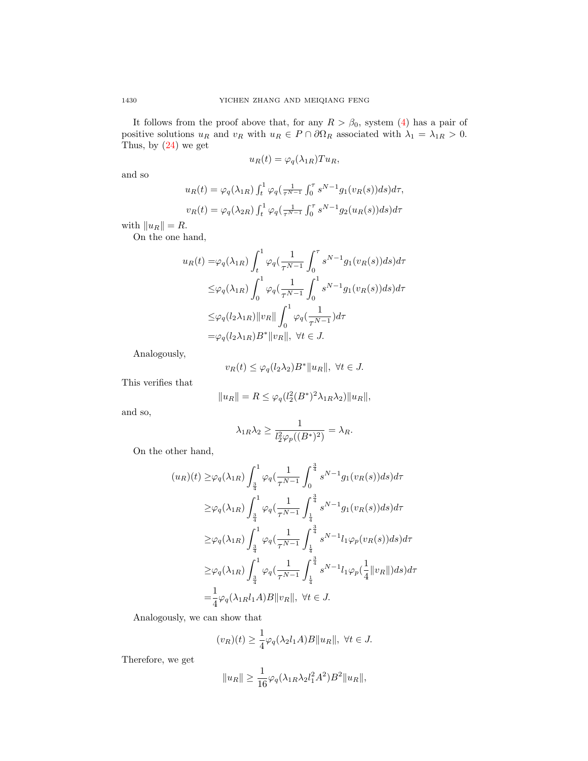It follows from the proof above that, for any  $R > \beta_0$ , system [\(4\)](#page-1-1) has a pair of positive solutions  $u_R$  and  $v_R$  with  $u_R \in P \cap \partial \Omega_R$  associated with  $\lambda_1 = \lambda_{1R} > 0$ . Thus, by [\(24\)](#page-10-0) we get

$$
u_R(t) = \varphi_q(\lambda_{1R}) T u_R,
$$

and so

$$
u_R(t) = \varphi_q(\lambda_{1R}) \int_t^1 \varphi_q(\frac{1}{\tau^{N-1}} \int_0^\tau s^{N-1} g_1(v_R(s)) ds) d\tau,
$$
  

$$
v_R(t) = \varphi_q(\lambda_{2R}) \int_t^1 \varphi_q(\frac{1}{\tau^{N-1}} \int_0^\tau s^{N-1} g_2(u_R(s)) ds) d\tau
$$

with  $||u_R|| = R$ .

On the one hand,

$$
u_R(t) = \varphi_q(\lambda_{1R}) \int_t^1 \varphi_q(\frac{1}{\tau^{N-1}} \int_0^\tau s^{N-1} g_1(v_R(s)) ds) d\tau
$$
  

$$
\leq \varphi_q(\lambda_{1R}) \int_0^1 \varphi_q(\frac{1}{\tau^{N-1}} \int_0^1 s^{N-1} g_1(v_R(s)) ds) d\tau
$$
  

$$
\leq \varphi_q(l_2 \lambda_{1R}) ||v_R|| \int_0^1 \varphi_q(\frac{1}{\tau^{N-1}}) d\tau
$$
  

$$
= \varphi_q(l_2 \lambda_{1R}) B^* ||v_R||, \ \forall t \in J.
$$

Analogously,

$$
v_R(t) \le \varphi_q(l_2 \lambda_2) B^* \|u_R\|, \ \forall t \in J.
$$

This verifies that

$$
||u_R|| = R \le \varphi_q(l_2^2(B^*)^2 \lambda_{1R} \lambda_2)||u_R||,
$$

and so,

$$
\lambda_{1R}\lambda_2 \ge \frac{1}{l_2^2\varphi_p((B^*)^2)} = \lambda_R.
$$

On the other hand,

$$
(u_R)(t) \geq \varphi_q(\lambda_{1R}) \int_{\frac{3}{4}}^1 \varphi_q(\frac{1}{\tau^{N-1}} \int_0^{\frac{3}{4}} s^{N-1} g_1(v_R(s)) ds) d\tau
$$
  
\n
$$
\geq \varphi_q(\lambda_{1R}) \int_{\frac{3}{4}}^1 \varphi_q(\frac{1}{\tau^{N-1}} \int_{\frac{1}{4}}^{\frac{3}{4}} s^{N-1} g_1(v_R(s)) ds) d\tau
$$
  
\n
$$
\geq \varphi_q(\lambda_{1R}) \int_{\frac{3}{4}}^1 \varphi_q(\frac{1}{\tau^{N-1}} \int_{\frac{1}{4}}^{\frac{3}{4}} s^{N-1} l_1 \varphi_p(v_R(s)) ds) d\tau
$$
  
\n
$$
\geq \varphi_q(\lambda_{1R}) \int_{\frac{3}{4}}^1 \varphi_q(\frac{1}{\tau^{N-1}} \int_{\frac{1}{4}}^{\frac{3}{4}} s^{N-1} l_1 \varphi_p(\frac{1}{4} || v_R ||) ds) d\tau
$$
  
\n
$$
= \frac{1}{4} \varphi_q(\lambda_{1R} l_1 A) B || v_R ||, \ \forall t \in J.
$$

Analogously, we can show that

$$
(v_R)(t) \ge \frac{1}{4}\varphi_q(\lambda_2 l_1 A)B||u_R||, \ \forall t \in J.
$$

Therefore, we get

$$
||u_R|| \geq \frac{1}{16}\varphi_q(\lambda_{1R}\lambda_2 l_1^2 A^2)B^2||u_R||,
$$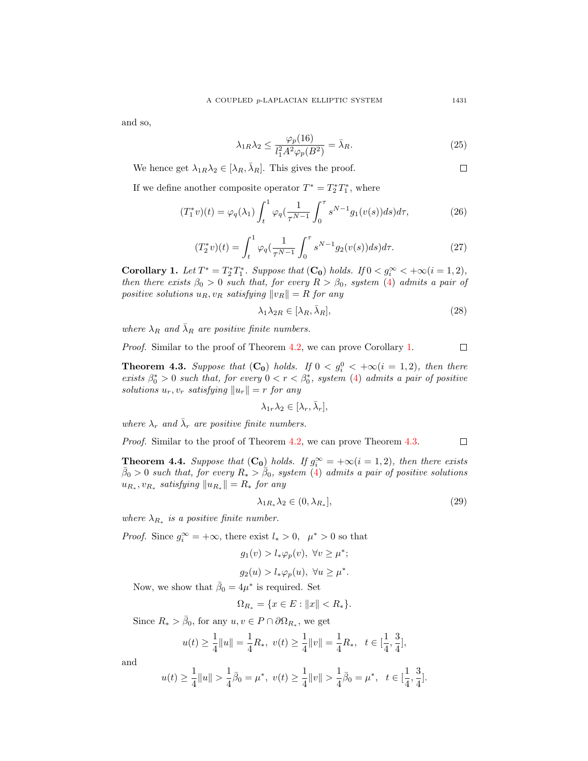and so,

$$
\lambda_{1R}\lambda_2 \le \frac{\varphi_p(16)}{l_1^2 A^2 \varphi_p(B^2)} = \bar{\lambda}_R. \tag{25}
$$

We hence get  $\lambda_{1R}\lambda_2 \in [\lambda_R, \bar{\lambda}_R]$ . This gives the proof.

<span id="page-12-5"></span><span id="page-12-2"></span>
$$
\mathcal{L}^{\mathcal{L}}(\mathcal{L})
$$

If we define another composite operator  $T^* = T_2^* T_1^*$ , where

$$
(T_1^*v)(t) = \varphi_q(\lambda_1) \int_t^1 \varphi_q(\frac{1}{\tau^{N-1}} \int_0^\tau s^{N-1} g_1(v(s)) ds) d\tau,
$$
 (26)

$$
(T_2^*v)(t) = \int_t^1 \varphi_q(\frac{1}{\tau^{N-1}} \int_0^\tau s^{N-1} g_2(v(s)) ds) d\tau.
$$
 (27)

<span id="page-12-0"></span>**Corollary 1.** Let  $T^* = T_2^* T_1^*$ . Suppose that  $(C_0)$  holds. If  $0 < g_i^{\infty} < +\infty (i = 1, 2)$ , then there exists  $\beta_0 > 0$  such that, for every  $R > \beta_0$ , system [\(4\)](#page-1-1) admits a pair of positive solutions  $u_R, v_R$  satisfying  $||v_R|| = R$  for any

$$
\lambda_1 \lambda_{2R} \in [\lambda_R, \bar{\lambda}_R],\tag{28}
$$

where  $\lambda_R$  and  $\overline{\lambda_R}$  are positive finite numbers.

Proof. Similar to the proof of Theorem [4.2,](#page-9-0) we can prove Corollary [1.](#page-12-0)  $\Box$ 

<span id="page-12-1"></span>**Theorem 4.3.** Suppose that  $(C_0)$  holds. If  $0 < g_i^0 < +\infty (i = 1, 2)$ , then there exists  $\beta_0^* > 0$  such that, for every  $0 < r < \beta_0^*$ , system [\(4\)](#page-1-1) admits a pair of positive solutions  $u_r, v_r$  satisfying  $||u_r|| = r$  for any

$$
\lambda_{1r}\lambda_2\in[\lambda_r,\bar{\lambda}_r],
$$

where  $\lambda_r$  and  $\bar{\lambda}_r$  are positive finite numbers.

Proof. Similar to the proof of Theorem [4.2,](#page-9-0) we can prove Theorem [4.3.](#page-12-1)  $\Box$ 

<span id="page-12-4"></span>**Theorem 4.4.** Suppose that  $(C_0)$  holds. If  $g_i^{\infty} = +\infty (i = 1, 2)$ , then there exists  $\bar{\beta}_0 > 0$  such that, for every  $R_* > \bar{\beta}_0$ , system [\(4\)](#page-1-1) admits a pair of positive solutions  $u_{R_*}, v_{R_*}$  satisfying  $||u_{R_*}|| = R_*$  for any

<span id="page-12-3"></span>
$$
\lambda_{1R_*}\lambda_2 \in (0, \lambda_{R_*}],\tag{29}
$$

where  $\lambda_{R_*}$  is a positive finite number.

*Proof.* Since  $g_i^{\infty} = +\infty$ , there exist  $l_* > 0$ ,  $\mu^* > 0$  so that

$$
g_1(v) > l_*\varphi_p(v), \ \forall v \ge \mu^*;
$$
  

$$
g_2(u) > l_*\varphi_p(u), \ \forall u \ge \mu^*.
$$

Now, we show that  $\bar{\beta}_0 = 4\mu^*$  is required. Set

$$
\Omega_{R_*} = \{ x \in E : ||x|| < R_* \}.
$$

Since  $R_* > \bar{\beta}_0$ , for any  $u, v \in P \cap \partial \Omega_{R_*}$ , we get

$$
u(t) \ge \frac{1}{4} ||u|| = \frac{1}{4} R_*, \ v(t) \ge \frac{1}{4} ||v|| = \frac{1}{4} R_*, \ t \in [\frac{1}{4}, \frac{3}{4}],
$$

and

$$
u(t) \ge \frac{1}{4} ||u|| > \frac{1}{4}\overline{\beta}_0 = \mu^*, \ v(t) \ge \frac{1}{4} ||v|| > \frac{1}{4}\overline{\beta}_0 = \mu^*, \ t \in [\frac{1}{4}, \frac{3}{4}].
$$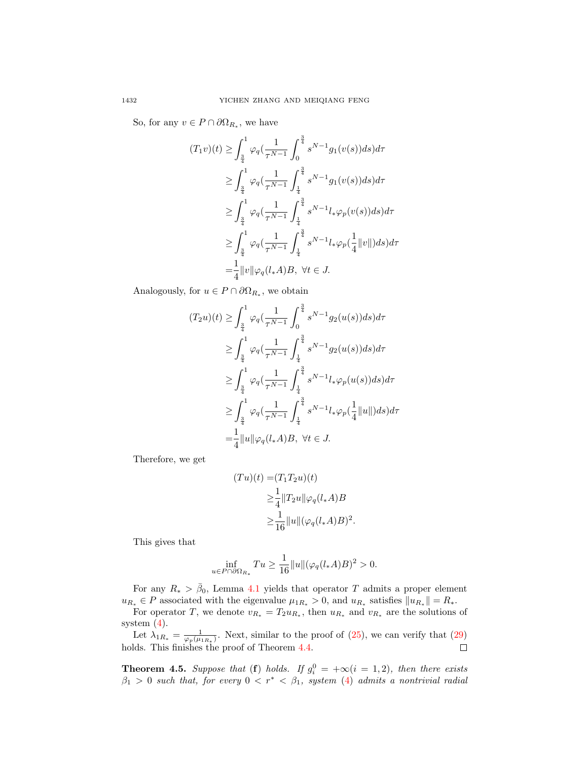So, for any  $v \in P \cap \partial \Omega_{R_*}$ , we have

$$
(T_1v)(t) \ge \int_{\frac{3}{4}}^1 \varphi_q(\frac{1}{\tau^{N-1}} \int_0^{\frac{3}{4}} s^{N-1} g_1(v(s)) ds) d\tau
$$
  
\n
$$
\ge \int_{\frac{3}{4}}^1 \varphi_q(\frac{1}{\tau^{N-1}} \int_{\frac{1}{4}}^{\frac{3}{4}} s^{N-1} g_1(v(s)) ds) d\tau
$$
  
\n
$$
\ge \int_{\frac{3}{4}}^1 \varphi_q(\frac{1}{\tau^{N-1}} \int_{\frac{1}{4}}^{\frac{3}{4}} s^{N-1} l_* \varphi_p(v(s)) ds) d\tau
$$
  
\n
$$
\ge \int_{\frac{3}{4}}^1 \varphi_q(\frac{1}{\tau^{N-1}} \int_{\frac{1}{4}}^{\frac{3}{4}} s^{N-1} l_* \varphi_p(\frac{1}{4} ||v||) ds) d\tau
$$
  
\n
$$
= \frac{1}{4} ||v|| \varphi_q(l_* A) B, \ \forall t \in J.
$$

Analogously, for  $u \in P \cap \partial \Omega_{R_*}$ , we obtain

$$
(T_2 u)(t) \geq \int_{\frac{3}{4}}^1 \varphi_q(\frac{1}{\tau^{N-1}} \int_0^{\frac{3}{4}} s^{N-1} g_2(u(s)) ds) d\tau
$$
  
\n
$$
\geq \int_{\frac{3}{4}}^1 \varphi_q(\frac{1}{\tau^{N-1}} \int_{\frac{1}{4}}^{\frac{3}{4}} s^{N-1} g_2(u(s)) ds) d\tau
$$
  
\n
$$
\geq \int_{\frac{3}{4}}^1 \varphi_q(\frac{1}{\tau^{N-1}} \int_{\frac{1}{4}}^{\frac{3}{4}} s^{N-1} l_* \varphi_p(u(s)) ds) d\tau
$$
  
\n
$$
\geq \int_{\frac{3}{4}}^1 \varphi_q(\frac{1}{\tau^{N-1}} \int_{\frac{1}{4}}^{\frac{3}{4}} s^{N-1} l_* \varphi_p(\frac{1}{4} ||u||) ds) d\tau
$$
  
\n
$$
= \frac{1}{4} ||u|| \varphi_q(l_* A) B, \ \forall t \in J.
$$

Therefore, we get

$$
(Tu)(t) = (T_1 T_2 u)(t)
$$
  
\n
$$
\geq \frac{1}{4} ||T_2 u|| \varphi_q(l_* A)B
$$
  
\n
$$
\geq \frac{1}{16} ||u|| (\varphi_q(l_* A)B)^2.
$$

This gives that

$$
\inf_{u \in P \cap \partial \Omega_{R_*}} Tu \ge \frac{1}{16} ||u|| (\varphi_q(l_*A)B)^2 > 0.
$$

For any  $R_* > \bar{\beta}_0$ , Lemma [4.1](#page-8-1) yields that operator T admits a proper element  $u_{R_*} \in P$  associated with the eigenvalue  $\mu_{1R_*} > 0$ , and  $u_{R_*}$  satisfies  $||u_{R_*}|| = R_*$ .

For operator T, we denote  $v_{R_*} = T_2 u_{R_*}$ , then  $u_{R_*}$  and  $v_{R_*}$  are the solutions of system [\(4\)](#page-1-1).

Let  $\lambda_{1R_*} = \frac{1}{\varphi_p(\mu_{1R_*)}}$ . Next, similar to the proof of [\(25\)](#page-12-2), we can verify that [\(29\)](#page-12-3)  $\Box$ holds. This finishes the proof of Theorem [4.4.](#page-12-4)

<span id="page-13-0"></span>**Theorem 4.5.** Suppose that (**f**) holds. If  $g_i^0 = +\infty (i = 1, 2)$ , then there exists  $\beta_1 > 0$  such that, for every  $0 < r^* < \beta_1$ , system [\(4\)](#page-1-1) admits a nontrivial radial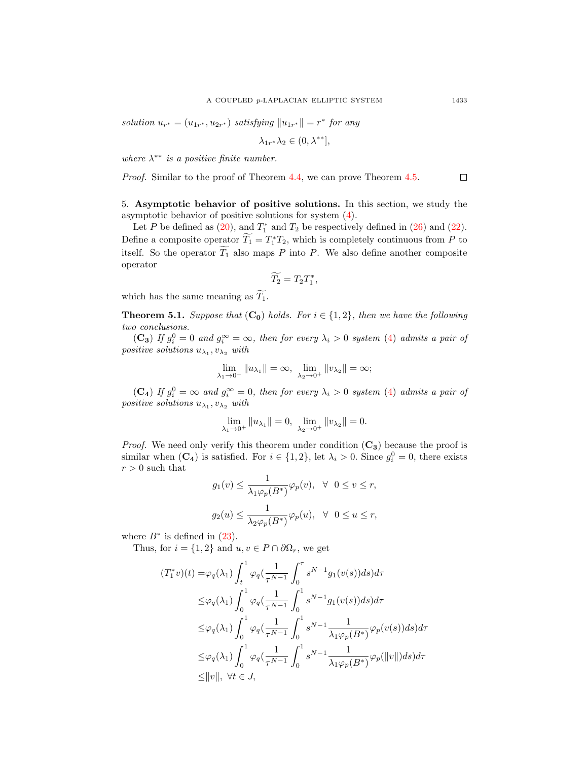solution  $u_{r^*} = (u_{1r^*}, u_{2r^*})$  satisfying  $||u_{1r^*}|| = r^*$  for any

$$
\lambda_{1r^*}\lambda_2 \in (0, \lambda^{**}],
$$

where  $\lambda^{**}$  is a positive finite number.

Proof. Similar to the proof of Theorem [4.4,](#page-12-4) we can prove Theorem [4.5.](#page-13-0)  $\Box$ 

5. Asymptotic behavior of positive solutions. In this section, we study the asymptotic behavior of positive solutions for system [\(4\)](#page-1-1).

Let P be defined as  $(20)$ , and  $T_1^*$  and  $T_2$  be respectively defined in  $(26)$  and  $(22)$ . Define a composite operator  $\widetilde{T}_1 = T_1^* T_2$ , which is completely continuous from P to itself. So the operator  $\widetilde{T_1}$  also maps P into P. We also define another composite operator

$$
\widetilde{T_2}=T_2T_1^*,
$$

which has the same meaning as  $\widetilde{T_1}$ .

<span id="page-14-0"></span>**Theorem 5.1.** Suppose that  $(C_0)$  holds. For  $i \in \{1,2\}$ , then we have the following two conclusions.

(C<sub>3</sub>) If  $g_i^0 = 0$  and  $g_i^{\infty} = \infty$ , then for every  $\lambda_i > 0$  system [\(4\)](#page-1-1) admits a pair of positive solutions  $u_{\lambda_1}, v_{\lambda_2}$  with

$$
\lim_{\lambda_1 \to 0^+} ||u_{\lambda_1}|| = \infty, \ \lim_{\lambda_2 \to 0^+} ||v_{\lambda_2}|| = \infty;
$$

(C<sub>4</sub>) If  $g_i^0 = \infty$  and  $g_i^{\infty} = 0$ , then for every  $\lambda_i > 0$  system [\(4\)](#page-1-1) admits a pair of positive solutions  $u_{\lambda_1}, v_{\lambda_2}$  with

$$
\lim_{\lambda_1 \to 0^+} ||u_{\lambda_1}|| = 0, \ \lim_{\lambda_2 \to 0^+} ||v_{\lambda_2}|| = 0.
$$

*Proof.* We need only verify this theorem under condition  $(C_3)$  because the proof is similar when  $(C_4)$  is satisfied. For  $i \in \{1,2\}$ , let  $\lambda_i > 0$ . Since  $g_i^0 = 0$ , there exists  $r>0$  such that

$$
g_1(v) \le \frac{1}{\lambda_1 \varphi_p(B^*)} \varphi_p(v), \ \ \forall \ \ 0 \le v \le r,
$$
  

$$
g_2(u) \le \frac{1}{\lambda_2 \varphi_p(B^*)} \varphi_p(u), \ \ \forall \ \ 0 \le u \le r,
$$

where  $B^*$  is defined in  $(23)$ .

Thus, for  $i = \{1, 2\}$  and  $u, v \in P \cap \partial \Omega_r$ , we get

$$
(T_1^*v)(t) = \varphi_q(\lambda_1) \int_t^1 \varphi_q(\frac{1}{\tau^{N-1}} \int_0^\tau s^{N-1} g_1(v(s)) ds) d\tau
$$
  
\n
$$
\leq \varphi_q(\lambda_1) \int_0^1 \varphi_q(\frac{1}{\tau^{N-1}} \int_0^1 s^{N-1} g_1(v(s)) ds) d\tau
$$
  
\n
$$
\leq \varphi_q(\lambda_1) \int_0^1 \varphi_q(\frac{1}{\tau^{N-1}} \int_0^1 s^{N-1} \frac{1}{\lambda_1 \varphi_p(B^*)} \varphi_p(v(s)) ds) d\tau
$$
  
\n
$$
\leq \varphi_q(\lambda_1) \int_0^1 \varphi_q(\frac{1}{\tau^{N-1}} \int_0^1 s^{N-1} \frac{1}{\lambda_1 \varphi_p(B^*)} \varphi_p(\|v\|) ds) d\tau
$$
  
\n
$$
\leq \|v\|, \ \forall t \in J,
$$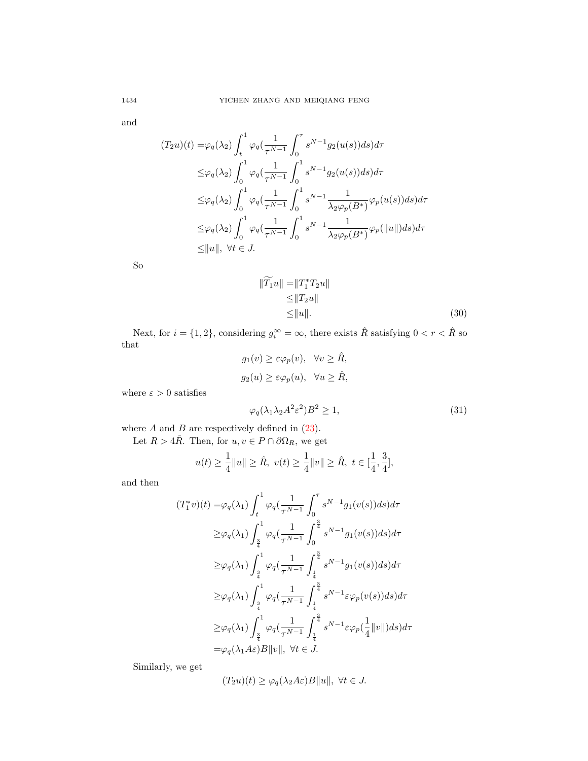and

$$
(T_2u)(t) = \varphi_q(\lambda_2) \int_t^1 \varphi_q(\frac{1}{\tau^{N-1}} \int_0^\tau s^{N-1} g_2(u(s)) ds) d\tau
$$
  

$$
\leq \varphi_q(\lambda_2) \int_0^1 \varphi_q(\frac{1}{\tau^{N-1}} \int_0^1 s^{N-1} g_2(u(s)) ds) d\tau
$$
  

$$
\leq \varphi_q(\lambda_2) \int_0^1 \varphi_q(\frac{1}{\tau^{N-1}} \int_0^1 s^{N-1} \frac{1}{\lambda_2 \varphi_p(B^*)} \varphi_p(u(s)) ds) d\tau
$$
  

$$
\leq \varphi_q(\lambda_2) \int_0^1 \varphi_q(\frac{1}{\tau^{N-1}} \int_0^1 s^{N-1} \frac{1}{\lambda_2 \varphi_p(B^*)} \varphi_p(\|u\|) ds) d\tau
$$
  

$$
\leq \|u\|, \ \forall t \in J.
$$

So

$$
\begin{aligned} \|\widetilde{T_1}u\| &= \|T_1^*T_2u\| \\ &\le \|T_2u\| \\ &\le \|u\|. \end{aligned} \tag{30}
$$

Next, for  $i = \{1, 2\}$ , considering  $g_i^{\infty} = \infty$ , there exists  $\hat{R}$  satisfying  $0 < r < \hat{R}$  so that

$$
g_1(v) \ge \varepsilon \varphi_p(v), \quad \forall v \ge \hat{R},
$$
  

$$
g_2(u) \ge \varepsilon \varphi_p(u), \quad \forall u \ge \hat{R},
$$

where  $\varepsilon>0$  satisfies

<span id="page-15-0"></span>
$$
\varphi_q(\lambda_1 \lambda_2 A^2 \varepsilon^2) B^2 \ge 1,\tag{31}
$$

where  $A$  and  $B$  are respectively defined in  $(23)$ .

Let  $R > 4R$ . Then, for  $u, v \in P \cap \partial \Omega_R$ , we get

$$
u(t) \ge \frac{1}{4} ||u|| \ge \hat{R}, \ v(t) \ge \frac{1}{4} ||v|| \ge \hat{R}, \ t \in [\frac{1}{4}, \frac{3}{4}],
$$

and then

$$
(T_1^*v)(t) = \varphi_q(\lambda_1) \int_t^1 \varphi_q(\frac{1}{\tau^{N-1}} \int_0^\tau s^{N-1} g_1(v(s)) ds) d\tau
$$
  
\n
$$
\geq \varphi_q(\lambda_1) \int_{\frac{3}{4}}^1 \varphi_q(\frac{1}{\tau^{N-1}} \int_0^{\frac{3}{4}} s^{N-1} g_1(v(s)) ds) d\tau
$$
  
\n
$$
\geq \varphi_q(\lambda_1) \int_{\frac{3}{4}}^1 \varphi_q(\frac{1}{\tau^{N-1}} \int_{\frac{1}{4}}^{\frac{3}{4}} s^{N-1} g_1(v(s)) ds) d\tau
$$
  
\n
$$
\geq \varphi_q(\lambda_1) \int_{\frac{3}{4}}^1 \varphi_q(\frac{1}{\tau^{N-1}} \int_{\frac{1}{4}}^{\frac{3}{4}} s^{N-1} \varepsilon \varphi_p(v(s)) ds) d\tau
$$
  
\n
$$
\geq \varphi_q(\lambda_1) \int_{\frac{3}{4}}^1 \varphi_q(\frac{1}{\tau^{N-1}} \int_{\frac{1}{4}}^{\frac{3}{4}} s^{N-1} \varepsilon \varphi_p(\frac{1}{4} ||v||) ds) d\tau
$$
  
\n
$$
= \varphi_q(\lambda_1 A \varepsilon) B ||v||, \ \forall t \in J.
$$

Similarly, we get

$$
(T_2u)(t) \ge \varphi_q(\lambda_2 A \varepsilon)B||u||, \ \forall t \in J.
$$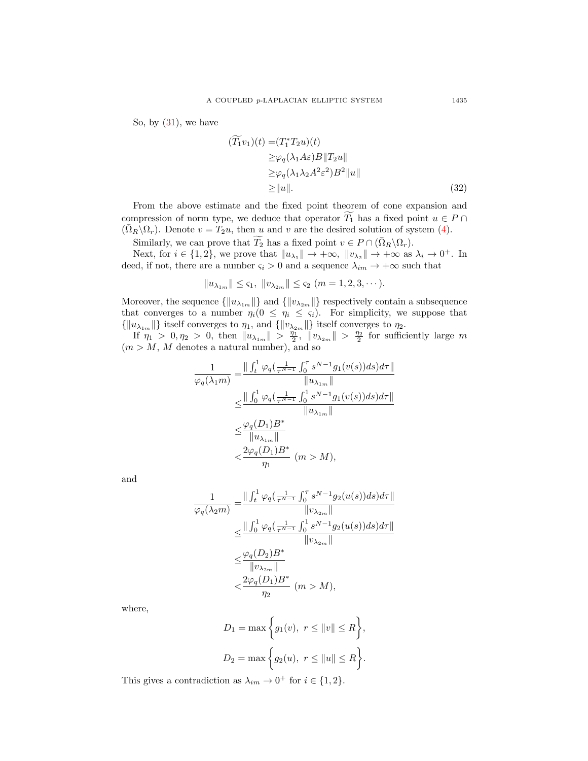So, by  $(31)$ , we have

$$
(\widetilde{T}_1 v_1)(t) = (T_1^* T_2 u)(t)
$$
  
\n
$$
\geq \varphi_q(\lambda_1 A \varepsilon) B \|T_2 u\|
$$
  
\n
$$
\geq \varphi_q(\lambda_1 \lambda_2 A^2 \varepsilon^2) B^2 \|u\|
$$
  
\n
$$
\geq \|u\|.
$$
 (32)

From the above estimate and the fixed point theorem of cone expansion and compression of norm type, we deduce that operator  $\widetilde{T_1}$  has a fixed point  $u \in P \cap$  $(\overline{\Omega}_R\backslash\Omega_r)$ . Denote  $v = T_2u$ , then u and v are the desired solution of system [\(4\)](#page-1-1).

Similarly, we can prove that  $\widetilde{T_2}$  has a fixed point  $v \in P \cap (\overline{\Omega}_R \backslash \Omega_r)$ .

Next, for  $i \in \{1,2\}$ , we prove that  $||u_{\lambda_1}|| \to +\infty$ ,  $||v_{\lambda_2}|| \to +\infty$  as  $\lambda_i \to 0^+$ . In deed, if not, there are a number  $\varsigma_i > 0$  and a sequence  $\lambda_{im} \to +\infty$  such that

$$
||u_{\lambda_{1m}}|| \leq \varsigma_1, ||v_{\lambda_{2m}}|| \leq \varsigma_2 \ (m=1,2,3,\cdots).
$$

Moreover, the sequence  $\{\Vert u_{\lambda_{1m}} \Vert\}$  and  $\{\Vert v_{\lambda_{2m}} \Vert\}$  respectively contain a subsequence that converges to a number  $\eta_i(0 \leq \eta_i \leq \varsigma_i)$ . For simplicity, we suppose that  $\{\|u_{\lambda_{1m}}\|\}$  itself converges to  $\eta_1$ , and  $\{\|v_{\lambda_{2m}}\|\}$  itself converges to  $\eta_2$ .

If  $\eta_1 > 0, \eta_2 > 0$ , then  $||u_{\lambda_{1m}}|| > \frac{\eta_1}{2}$ ,  $||v_{\lambda_{2m}}|| > \frac{\eta_2}{2}$  for sufficiently large m  $(m > M, M$  denotes a natural number), and so

$$
\frac{1}{\varphi_q(\lambda_1 m)} = \frac{\| \int_t^1 \varphi_q(\frac{1}{\tau^{N-1}} \int_0^\tau s^{N-1} g_1(v(s)) ds) d\tau \|}{\|u_{\lambda_1 m}\|} \n\leq \frac{\| \int_0^1 \varphi_q(\frac{1}{\tau^{N-1}} \int_0^1 s^{N-1} g_1(v(s)) ds) d\tau \|}{\|u_{\lambda_1 m}\|} \n\leq \frac{\varphi_q(D_1) B^*}{\|u_{\lambda_1 m}\|} \n< \frac{2\varphi_q(D_1) B^*}{\eta_1} \quad (m > M),
$$

and

$$
\begin{aligned} \frac{1}{\varphi_q(\lambda_2 m)} &= \frac{\parallel \int_t^1 \varphi_q\bigl(\frac{1}{\tau^{N-1}}\int_0^\tau s^{N-1}g_2(u(s))ds\bigl)d\tau \parallel}{\parallel v_{\lambda_{2m}}\parallel} \\ &\leq \frac{\parallel \int_0^1 \varphi_q\bigl(\frac{1}{\tau^{N-1}}\int_0^1 s^{N-1}g_2(u(s))ds\bigl)d\tau \parallel}{\parallel v_{\lambda_{2m}}\parallel} \\ &\leq \frac{\varphi_q(D_2)B^*}{\parallel v_{\lambda_{2m}}\parallel} \\ &< \frac{2\varphi_q(D_1)B^*}{\eta_2} \ (m > M), \end{aligned}
$$

where,

$$
D_1 = \max\left\{g_1(v), r \le ||v|| \le R\right\},\
$$
  

$$
D_2 = \max\left\{g_2(u), r \le ||u|| \le R\right\}.
$$

This gives a contradiction as  $\lambda_{im} \to 0^+$  for  $i \in \{1, 2\}.$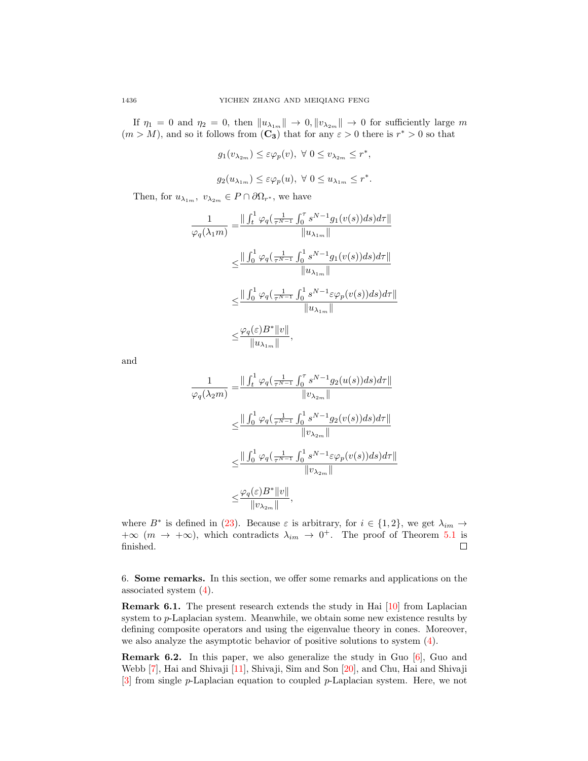If  $\eta_1 = 0$  and  $\eta_2 = 0$ , then  $||u_{\lambda_{1m}}|| \to 0$ ,  $||v_{\lambda_{2m}}|| \to 0$  for sufficiently large m  $(m > M)$ , and so it follows from  $(C_3)$  that for any  $\varepsilon > 0$  there is  $r^* > 0$  so that

$$
g_1(v_{\lambda_{2m}}) \leq \varepsilon \varphi_p(v), \ \forall \ 0 \leq v_{\lambda_{2m}} \leq r^*,
$$
  

$$
g_2(u_{\lambda_{1m}}) \leq \varepsilon \varphi_p(u), \ \forall \ 0 \leq u_{\lambda_{1m}} \leq r^*.
$$

Then, for  $u_{\lambda_{1m}}$ ,  $v_{\lambda_{2m}} \in P \cap \partial \Omega_{r^*}$ , we have

$$
\begin{split} \frac{1}{\varphi_q(\lambda_1 m)}=&\frac{\|\int_t^1\varphi_q\big(\frac{1}{\tau^{N-1}}\int_0^\tau s^{N-1}g_1(v(s))ds)d\tau\|}{\|u_{\lambda_1 m}\|}\\ \leq&\frac{\|\int_0^1\varphi_q\big(\frac{1}{\tau^{N-1}}\int_0^1 s^{N-1}g_1(v(s))ds\big)d\tau\|}{\|u_{\lambda_1 m}\|}\\ \leq&\frac{\|\int_0^1\varphi_q\big(\frac{1}{\tau^{N-1}}\int_0^1 s^{N-1}\varepsilon\varphi_p(v(s))ds\big)d\tau\|}{\|u_{\lambda_1 m}\|}\\ \leq&\frac{\varphi_q(\varepsilon)B^*\|v\|}{\|u_{\lambda_1 m}\|}, \end{split}
$$

and

$$
\frac{1}{\varphi_q(\lambda_2 m)} = \frac{\| \int_t^1 \varphi_q(\frac{1}{\tau^{N-1}} \int_0^\tau s^{N-1} g_2(u(s)) ds) d\tau \|}{\|v_{\lambda_2 m}\|} \n\leq \frac{\| \int_0^1 \varphi_q(\frac{1}{\tau^{N-1}} \int_0^1 s^{N-1} g_2(v(s)) ds) d\tau \|}{\|v_{\lambda_2 m}\|} \n\leq \frac{\| \int_0^1 \varphi_q(\frac{1}{\tau^{N-1}} \int_0^1 s^{N-1} \varepsilon \varphi_p(v(s)) ds) d\tau \|}{\|v_{\lambda_2 m}\|} \n\leq \frac{\varphi_q(\varepsilon) B^* \|v\|}{\|v_{\lambda_2 m}\|},
$$

where  $B^*$  is defined in [\(23\)](#page-9-3). Because  $\varepsilon$  is arbitrary, for  $i \in \{1,2\}$ , we get  $\lambda_{im} \to$  $+\infty$  (m  $\rightarrow +\infty$ ), which contradicts  $\lambda_{im} \rightarrow 0^+$ . The proof of Theorem [5.1](#page-14-0) is finished.  $\Box$ 

6. Some remarks. In this section, we offer some remarks and applications on the associated system [\(4\)](#page-1-1).

Remark 6.1. The present research extends the study in Hai [\[10\]](#page-18-7) from Laplacian system to p-Laplacian system. Meanwhile, we obtain some new existence results by defining composite operators and using the eigenvalue theory in cones. Moreover, we also analyze the asymptotic behavior of positive solutions to system [\(4\)](#page-1-1).

Remark 6.2. In this paper, we also generalize the study in Guo [\[6\]](#page-18-8), Guo and Webb [\[7\]](#page-18-9), Hai and Shivaji [\[11\]](#page-18-10), Shivaji, Sim and Son [\[20\]](#page-18-11), and Chu, Hai and Shivaji [\[3\]](#page-18-12) from single p-Laplacian equation to coupled p-Laplacian system. Here, we not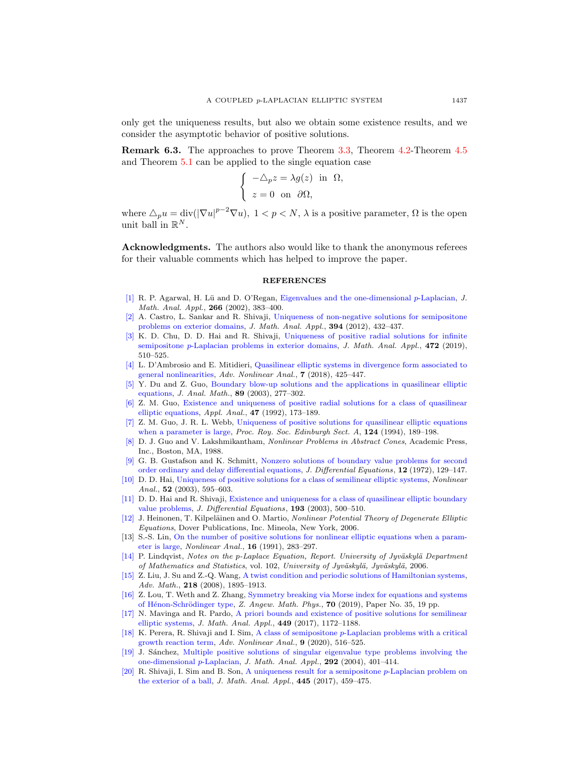only get the uniqueness results, but also we obtain some existence results, and we consider the asymptotic behavior of positive solutions.

Remark 6.3. The approaches to prove Theorem [3.3,](#page-6-2) Theorem [4.2-](#page-9-0)Theorem [4.5](#page-13-0) and Theorem [5.1](#page-14-0) can be applied to the single equation case

$$
\begin{cases}\n-\triangle_p z = \lambda g(z) & \text{in } \Omega, \\
z = 0 & \text{on } \partial \Omega,\n\end{cases}
$$

where  $\Delta_p u = \text{div}(|\nabla u|^{p-2} \nabla u)$ ,  $1 < p < N$ ,  $\lambda$  is a positive parameter,  $\Omega$  is the open unit ball in  $\mathbb{R}^N$ .

Acknowledgments. The authors also would like to thank the anonymous referees for their valuable comments which has helped to improve the paper.

## **REFERENCES**

- <span id="page-18-19"></span>[\[1\]](http://www.ams.org/mathscinet-getitem?mr=MR1880513&return=pdf) R. P. Agarwal, H. Lü and D. O'Regan, [Eigenvalues and the one-dimensional](http://dx.doi.org/10.1006/jmaa.2001.7742) p-Laplacian, J. Math. Anal. Appl., 266 (2002), 383–400.
- <span id="page-18-5"></span>[\[2\]](http://www.ams.org/mathscinet-getitem?mr=MR2926234&return=pdf) A. Castro, L. Sankar and R. Shivaji, [Uniqueness of non-negative solutions for semipositone](http://dx.doi.org/10.1016/j.jmaa.2012.04.005) [problems on exterior domains,](http://dx.doi.org/10.1016/j.jmaa.2012.04.005) J. Math. Anal. Appl., 394 (2012), 432–437.
- <span id="page-18-12"></span>[\[3\]](http://www.ams.org/mathscinet-getitem?mr=MR3906387&return=pdf) K. D. Chu, D. D. Hai and R. Shivaji, [Uniqueness of positive radial solutions for infinite](http://dx.doi.org/10.1016/j.jmaa.2018.11.037) semipositone p[-Laplacian problems in exterior domains,](http://dx.doi.org/10.1016/j.jmaa.2018.11.037) J. Math. Anal. Appl., 472 (2019), 510–525.
- <span id="page-18-13"></span>[\[4\]](http://www.ams.org/mathscinet-getitem?mr=MR3871414&return=pdf) L. D'Ambrosio and E. Mitidieri, [Quasilinear elliptic systems in divergence form associated to](http://dx.doi.org/10.1515/anona-2018-0171) [general nonlinearities,](http://dx.doi.org/10.1515/anona-2018-0171) Adv. Nonlinear Anal., 7 (2018), 425-447.
- <span id="page-18-2"></span>[\[5\]](http://www.ams.org/mathscinet-getitem?mr=MR1981921&return=pdf) Y. Du and Z. Guo, [Boundary blow-up solutions and the applications in quasilinear elliptic](http://dx.doi.org/10.1007/BF02893084) [equations,](http://dx.doi.org/10.1007/BF02893084) J. Anal. Math., 89 (2003), 277–302.
- <span id="page-18-8"></span>[\[6\]](http://www.ams.org/mathscinet-getitem?mr=MR1333953&return=pdf) Z. M. Guo, [Existence and uniqueness of positive radial solutions for a class of quasilinear](http://dx.doi.org/10.1080/00036819208840139) [elliptic equations,](http://dx.doi.org/10.1080/00036819208840139) Appl. Anal., 47 (1992), 173–189.
- <span id="page-18-9"></span>[\[7\]](http://www.ams.org/mathscinet-getitem?mr=MR1272439&return=pdf) Z. M. Guo, J. R. L. Webb, [Uniqueness of positive solutions for quasilinear elliptic equations](http://dx.doi.org/10.1017/S0308210500029280) [when a parameter is large,](http://dx.doi.org/10.1017/S0308210500029280) Proc. Roy. Soc. Edinburgh Sect.  $A$ ,  $124$  (1994), 189-198.
- <span id="page-18-18"></span>[\[8\]](http://www.ams.org/mathscinet-getitem?mr=MR959889&return=pdf) D. J. Guo and V. Lakshmikantham, Nonlinear Problems in Abstract Cones, Academic Press, Inc., Boston, MA, 1988.
- <span id="page-18-17"></span>[\[9\]](http://www.ams.org/mathscinet-getitem?mr=MR346234&return=pdf) G. B. Gustafson and K. Schmitt, [Nonzero solutions of boundary value problems for second](http://dx.doi.org/10.1016/0022-0396(72)90009-5) [order ordinary and delay differential equations,](http://dx.doi.org/10.1016/0022-0396(72)90009-5) J. Differential Equations, 12 (1972), 129–147.
- <span id="page-18-7"></span>[\[10\]](http://www.ams.org/mathscinet-getitem?mr=MR1938364&return=pdf) D. D. Hai, [Uniqueness of positive solutions for a class of semilinear elliptic systems,](http://dx.doi.org/10.1016/S0362-546X(02)00125-6) Nonlinear Anal., **52** (2003), 595-603.
- <span id="page-18-10"></span>[\[11\]](http://www.ams.org/mathscinet-getitem?mr=MR1998966&return=pdf) D. D. Hai and R. Shivaji, [Existence and uniqueness for a class of quasilinear elliptic boundary](http://dx.doi.org/10.1016/S0022-0396(03)00028-7) [value problems,](http://dx.doi.org/10.1016/S0022-0396(03)00028-7) J. Differential Equations, 193 (2003), 500–510.
- <span id="page-18-0"></span>[\[12\]](http://www.ams.org/mathscinet-getitem?mr=MR2305115&return=pdf) J. Heinonen, T. Kilpeläinen and O. Martio, Nonlinear Potential Theory of Degenerate Elliptic Equations, Dover Publications, Inc. Mineola, New York, 2006.
- <span id="page-18-6"></span>[13] S.-S. Lin, [On the number of positive solutions for nonlinear elliptic equations when a param](http://dx.doi.org/10.1016/0362-546X(91)90229-T)[eter is large,](http://dx.doi.org/10.1016/0362-546X(91)90229-T) Nonlinear Anal., 16 (1991), 283–297.
- <span id="page-18-1"></span> $[14]$  P. Lindqvist, Notes on the p-Laplace Equation, Report. University of Jyväskylä Department of Mathematics and Statistics, vol. 102, University of Jyväskylä, Jyväskylä, 2006.
- <span id="page-18-14"></span>[\[15\]](http://www.ams.org/mathscinet-getitem?mr=MR2431664&return=pdf) Z. Liu, J. Su and Z.-Q. Wang, [A twist condition and periodic solutions of Hamiltonian systems,](http://dx.doi.org/10.1016/j.aim.2008.03.024) Adv. Math., 218 (2008), 1895–1913.
- <span id="page-18-15"></span>[\[16\]](http://www.ams.org/mathscinet-getitem?mr=MR3916100&return=pdf) Z. Lou, T. Weth and Z. Zhang, [Symmetry breaking via Morse index for equations and systems](http://dx.doi.org/10.1007/s00033-019-1080-8) of Hénon-Schrödinger type, Z. Angew. Math. Phys.,  $70$  (2019), Paper No. 35, 19 pp.
- <span id="page-18-16"></span>[\[17\]](http://www.ams.org/mathscinet-getitem?mr=MR3601585&return=pdf) N. Mavinga and R. Pardo, [A priori bounds and existence of positive solutions for semilinear](http://dx.doi.org/10.1016/j.jmaa.2016.12.058) [elliptic systems,](http://dx.doi.org/10.1016/j.jmaa.2016.12.058) J. Math. Anal. Appl., 449 (2017), 1172–1188.
- <span id="page-18-4"></span>[\[18\]](http://www.ams.org/mathscinet-getitem?mr=MR3969151&return=pdf) K. Perera, R. Shivaji and I. Sim, A class of semipositone p[-Laplacian problems with a critical](http://dx.doi.org/10.1515/anona-2020-0012) [growth reaction term,](http://dx.doi.org/10.1515/anona-2020-0012) Adv. Nonlinear Anal., 9 (2020), 516–525.
- <span id="page-18-3"></span>[\[19\]](http://www.ams.org/mathscinet-getitem?mr=MR2047620&return=pdf) J. S´anchez, [Multiple positive solutions of singular eigenvalue type problems involving the](http://dx.doi.org/10.1016/j.jmaa.2003.12.005) [one-dimensional](http://dx.doi.org/10.1016/j.jmaa.2003.12.005) p-Laplacian, J. Math. Anal. Appl., 292 (2004), 401–414.
- <span id="page-18-11"></span>[\[20\]](http://www.ams.org/mathscinet-getitem?mr=MR3543777&return=pdf) R. Shivaji, I. Sim and B. Son, [A uniqueness result for a semipositone](http://dx.doi.org/10.1016/j.jmaa.2016.07.029) p-Laplacian problem on [the exterior of a ball,](http://dx.doi.org/10.1016/j.jmaa.2016.07.029) J. Math. Anal. Appl., 445 (2017), 459–475.